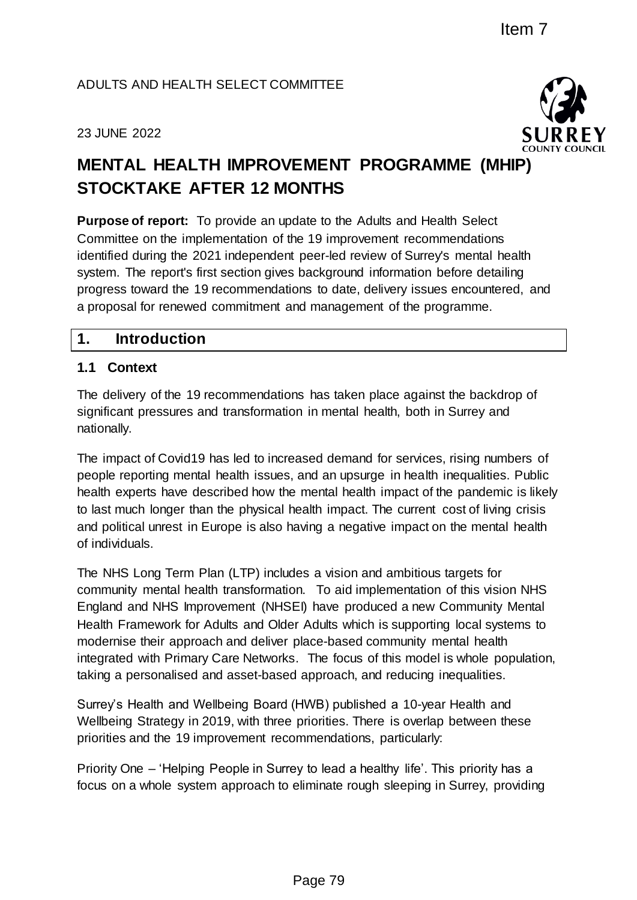#### ADULTS AND HEALTH SELECT COMMITTEE

#### 23 JUNE 2022



# **MENTAL HEALTH IMPROVEMENT PROGRAMME (MHIP) STOCKTAKE AFTER 12 MONTHS**

**Purpose of report:** To provide an update to the Adults and Health Select Committee on the implementation of the 19 improvement recommendations identified during the 2021 independent peer-led review of Surrey's mental health system. The report's first section gives background information before detailing progress toward the 19 recommendations to date, delivery issues encountered, and a proposal for renewed commitment and management of the programme.

#### **1. Introduction**

#### **1.1 Context**

The delivery of the 19 recommendations has taken place against the backdrop of significant pressures and transformation in mental health, both in Surrey and nationally.

The impact of Covid19 has led to increased demand for services, rising numbers of people reporting mental health issues, and an upsurge in health inequalities. Public health experts have described how the mental health impact of the pandemic is likely to last much longer than the physical health impact. The current cost of living crisis and political unrest in Europe is also having a negative impact on the mental health of individuals.

The NHS Long Term Plan (LTP) includes a vision and ambitious targets for community mental health transformation. To aid implementation of this vision NHS England and NHS Improvement (NHSEI) have produced a new Community Mental Health Framework for Adults and Older Adults which is supporting local systems to modernise their approach and deliver place-based community mental health integrated with Primary Care Networks. The focus of this model is whole population, taking a personalised and asset-based approach, and reducing inequalities. Item 7<br>
SUMITTEE<br>
EMENT PROGRAMME (MHIP)<br>
DONTHS<br>
EMENT PROGRAMME (MHIP)<br>
DONTHS<br>
date to the Adults and Health Select<br>
neer-led review of Survey's metric and health<br>
background information before detailing<br>
ons to date, d

Surrey's Health and Wellbeing Board (HWB) published a 10-year Health and Wellbeing Strategy in 2019, with three priorities. There is overlap between these priorities and the 19 improvement recommendations, particularly:

Priority One – 'Helping People in Surrey to lead a healthy life'. This priority has a focus on a whole system approach to eliminate rough sleeping in Surrey, providing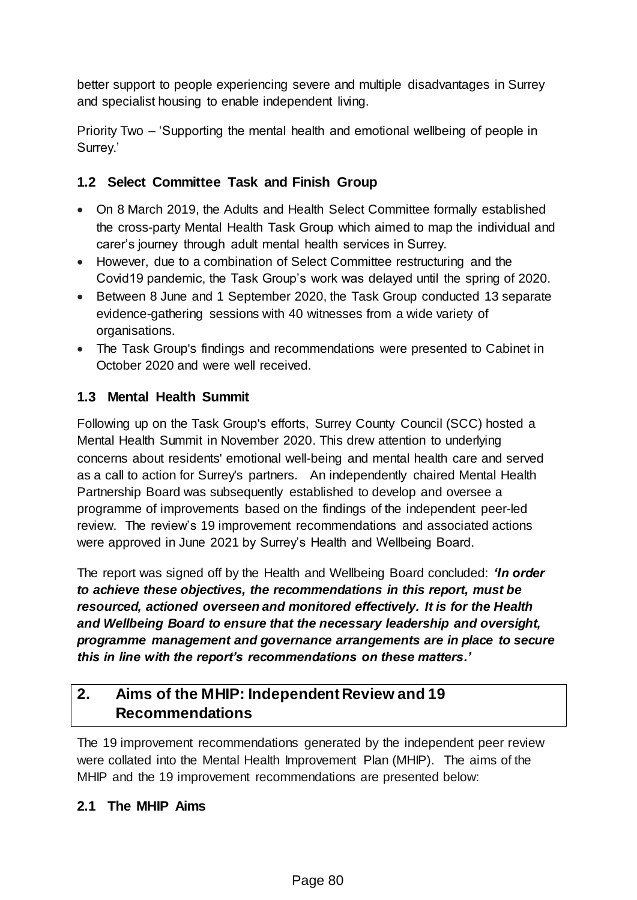better support to people experiencing severe and multiple disadvantages in Surrey and specialist housing to enable independent living.

Priority Two – 'Supporting the mental health and emotional wellbeing of people in Surrey.'

## **1.2 Select Committee Task and Finish Group**

- On 8 March 2019, the Adults and Health Select Committee formally established the cross-party Mental Health Task Group which aimed to map the individual and carer's journey through adult mental health services in Surrey.
- However, due to a combination of Select Committee restructuring and the Covid19 pandemic, the Task Group's work was delayed until the spring of 2020.
- Between 8 June and 1 September 2020, the Task Group conducted 13 separate evidence-gathering sessions with 40 witnesses from a wide variety of organisations.
- The Task Group's findings and recommendations were presented to Cabinet in October 2020 and were well received.

# **1.3 Mental Health Summit**

Following up on the Task Group's efforts, Surrey County Council (SCC) hosted a Mental Health Summit in November 2020. This drew attention to underlying concerns about residents' emotional well-being and mental health care and served as a call to action for Surrey's partners. An independently chaired Mental Health Partnership Board was subsequently established to develop and oversee a programme of improvements based on the findings of the independent peer-led review. The review's 19 improvement recommendations and associated actions were approved in June 2021 by Surrey's Health and Wellbeing Board.

The report was signed off by the Health and Wellbeing Board concluded: *'In order to achieve these objectives, the recommendations in this report, must be resourced, actioned overseen and monitored effectively. It is for the Health and Wellbeing Board to ensure that the necessary leadership and oversight, programme management and governance arrangements are in place to secure this in line with the report's recommendations on these matters.'*

# **2. Aims of the MHIP: Independent Review and 19 Recommendations**

The 19 improvement recommendations generated by the independent peer review were collated into the Mental Health Improvement Plan (MHIP). The aims of the MHIP and the 19 improvement recommendations are presented below:

#### **2.1 The MHIP Aims**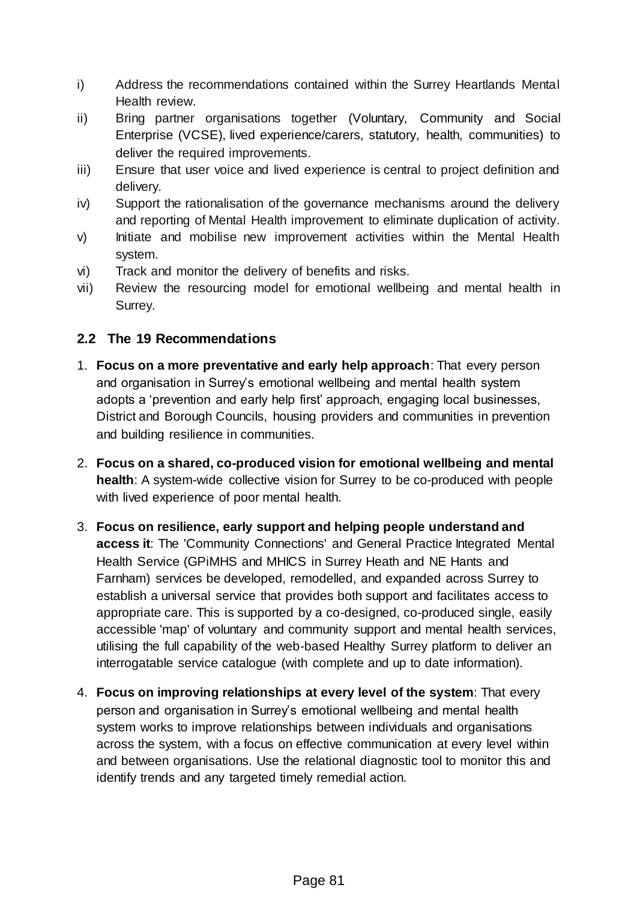- i) Address the recommendations contained within the Surrey Heartlands Mental Health review.
- ii) Bring partner organisations together (Voluntary, Community and Social Enterprise (VCSE), lived experience/carers, statutory, health, communities) to deliver the required improvements.
- iii) Ensure that user voice and lived experience is central to project definition and delivery.
- iv) Support the rationalisation of the governance mechanisms around the delivery and reporting of Mental Health improvement to eliminate duplication of activity.
- v) Initiate and mobilise new improvement activities within the Mental Health system.
- vi) Track and monitor the delivery of benefits and risks.
- vii) Review the resourcing model for emotional wellbeing and mental health in Surrey.

## **2.2 The 19 Recommendations**

- 1. **Focus on a more preventative and early help approach**: That every person and organisation in Surrey's emotional wellbeing and mental health system adopts a 'prevention and early help first' approach, engaging local businesses, District and Borough Councils, housing providers and communities in prevention and building resilience in communities.
- 2. **Focus on a shared, co-produced vision for emotional wellbeing and mental health**: A system-wide collective vision for Surrey to be co-produced with people with lived experience of poor mental health.
- 3. **Focus on resilience, early support and helping people understand and access it**: The 'Community Connections' and General Practice Integrated Mental Health Service (GPiMHS and MHICS in Surrey Heath and NE Hants and Farnham) services be developed, remodelled, and expanded across Surrey to establish a universal service that provides both support and facilitates access to appropriate care. This is supported by a co-designed, co-produced single, easily accessible 'map' of voluntary and community support and mental health services, utilising the full capability of the web-based Healthy Surrey platform to deliver an interrogatable service catalogue (with complete and up to date information).
- 4. **Focus on improving relationships at every level of the system**: That every person and organisation in Surrey's emotional wellbeing and mental health system works to improve relationships between individuals and organisations across the system, with a focus on effective communication at every level within and between organisations. Use the relational diagnostic tool to monitor this and identify trends and any targeted timely remedial action.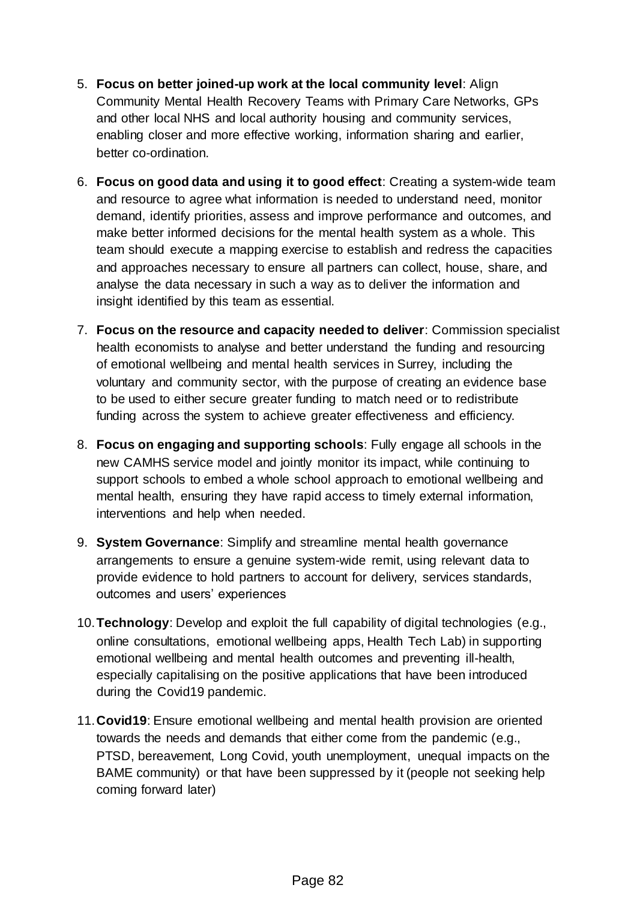- 5. **Focus on better joined-up work at the local community level**: Align Community Mental Health Recovery Teams with Primary Care Networks, GPs and other local NHS and local authority housing and community services, enabling closer and more effective working, information sharing and earlier, better co-ordination.
- 6. **Focus on good data and using it to good effect**: Creating a system-wide team and resource to agree what information is needed to understand need, monitor demand, identify priorities, assess and improve performance and outcomes, and make better informed decisions for the mental health system as a whole. This team should execute a mapping exercise to establish and redress the capacities and approaches necessary to ensure all partners can collect, house, share, and analyse the data necessary in such a way as to deliver the information and insight identified by this team as essential.
- 7. **Focus on the resource and capacity needed to deliver**: Commission specialist health economists to analyse and better understand the funding and resourcing of emotional wellbeing and mental health services in Surrey, including the voluntary and community sector, with the purpose of creating an evidence base to be used to either secure greater funding to match need or to redistribute funding across the system to achieve greater effectiveness and efficiency.
- 8. **Focus on engaging and supporting schools**: Fully engage all schools in the new CAMHS service model and jointly monitor its impact, while continuing to support schools to embed a whole school approach to emotional wellbeing and mental health, ensuring they have rapid access to timely external information, interventions and help when needed.
- 9. **System Governance**: Simplify and streamline mental health governance arrangements to ensure a genuine system-wide remit, using relevant data to provide evidence to hold partners to account for delivery, services standards, outcomes and users' experiences
- 10.**Technology**: Develop and exploit the full capability of digital technologies (e.g., online consultations, emotional wellbeing apps, Health Tech Lab) in supporting emotional wellbeing and mental health outcomes and preventing ill-health, especially capitalising on the positive applications that have been introduced during the Covid19 pandemic.
- 11.**Covid19**: Ensure emotional wellbeing and mental health provision are oriented towards the needs and demands that either come from the pandemic (e.g., PTSD, bereavement, Long Covid, youth unemployment, unequal impacts on the BAME community) or that have been suppressed by it (people not seeking help coming forward later)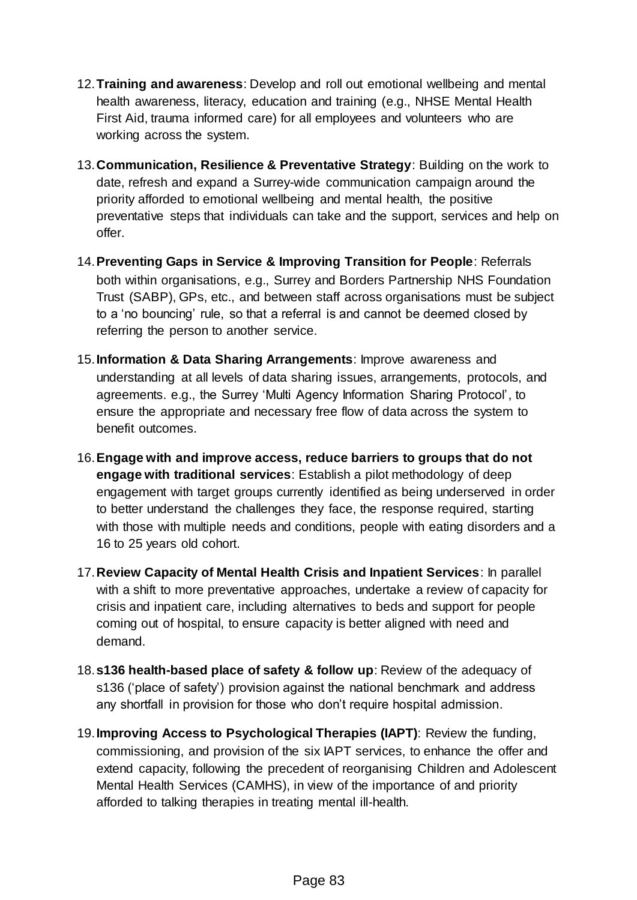- 12.**Training and awareness**: Develop and roll out emotional wellbeing and mental health awareness, literacy, education and training (e.g., NHSE Mental Health First Aid, trauma informed care) for all employees and volunteers who are working across the system.
- 13.**Communication, Resilience & Preventative Strategy**: Building on the work to date, refresh and expand a Surrey-wide communication campaign around the priority afforded to emotional wellbeing and mental health, the positive preventative steps that individuals can take and the support, services and help on offer.
- 14.**Preventing Gaps in Service & Improving Transition for People**: Referrals both within organisations, e.g., Surrey and Borders Partnership NHS Foundation Trust (SABP), GPs, etc., and between staff across organisations must be subject to a 'no bouncing' rule, so that a referral is and cannot be deemed closed by referring the person to another service.
- 15.**Information & Data Sharing Arrangements**: Improve awareness and understanding at all levels of data sharing issues, arrangements, protocols, and agreements. e.g., the Surrey 'Multi Agency Information Sharing Protocol', to ensure the appropriate and necessary free flow of data across the system to benefit outcomes.
- 16.**Engage with and improve access, reduce barriers to groups that do not engage with traditional services**: Establish a pilot methodology of deep engagement with target groups currently identified as being underserved in order to better understand the challenges they face, the response required, starting with those with multiple needs and conditions, people with eating disorders and a 16 to 25 years old cohort.
- 17.**Review Capacity of Mental Health Crisis and Inpatient Services**: In parallel with a shift to more preventative approaches, undertake a review of capacity for crisis and inpatient care, including alternatives to beds and support for people coming out of hospital, to ensure capacity is better aligned with need and demand.
- 18.**s136 health-based place of safety & follow up**: Review of the adequacy of s136 ('place of safety') provision against the national benchmark and address any shortfall in provision for those who don't require hospital admission.
- 19.**Improving Access to Psychological Therapies (IAPT)**: Review the funding, commissioning, and provision of the six IAPT services, to enhance the offer and extend capacity, following the precedent of reorganising Children and Adolescent Mental Health Services (CAMHS), in view of the importance of and priority afforded to talking therapies in treating mental ill-health.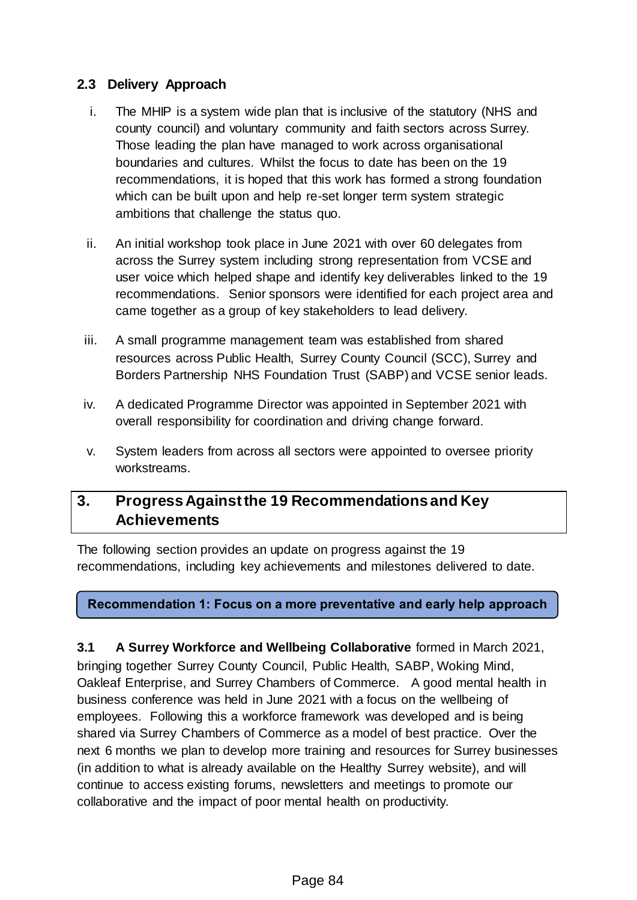#### **2.3 Delivery Approach**

- i. The MHIP is a system wide plan that is inclusive of the statutory (NHS and county council) and voluntary community and faith sectors across Surrey. Those leading the plan have managed to work across organisational boundaries and cultures. Whilst the focus to date has been on the 19 recommendations, it is hoped that this work has formed a strong foundation which can be built upon and help re-set longer term system strategic ambitions that challenge the status quo.
- ii. An initial workshop took place in June 2021 with over 60 delegates from across the Surrey system including strong representation from VCSE and user voice which helped shape and identify key deliverables linked to the 19 recommendations. Senior sponsors were identified for each project area and came together as a group of key stakeholders to lead delivery.
- iii. A small programme management team was established from shared resources across Public Health, Surrey County Council (SCC), Surrey and Borders Partnership NHS Foundation Trust (SABP) and VCSE senior leads.
- iv. A dedicated Programme Director was appointed in September 2021 with overall responsibility for coordination and driving change forward.
- v. System leaders from across all sectors were appointed to oversee priority workstreams.

# **3. Progress Against the 19 Recommendations and Key Achievements**

The following section provides an update on progress against the 19 recommendations, including key achievements and milestones delivered to date.

#### **Recommendation 1: Focus on a more preventative and early help approach**

**3.1 A Surrey Workforce and Wellbeing Collaborative** formed in March 2021, bringing together Surrey County Council, Public Health, SABP, Woking Mind, Oakleaf Enterprise, and Surrey Chambers of Commerce. A good mental health in business conference was held in June 2021 with a focus on the wellbeing of employees. Following this a workforce framework was developed and is being shared via Surrey Chambers of Commerce as a model of best practice. Over the next 6 months we plan to develop more training and resources for Surrey businesses (in addition to what is already available on the Healthy Surrey website), and will continue to access existing forums, newsletters and meetings to promote our collaborative and the impact of poor mental health on productivity.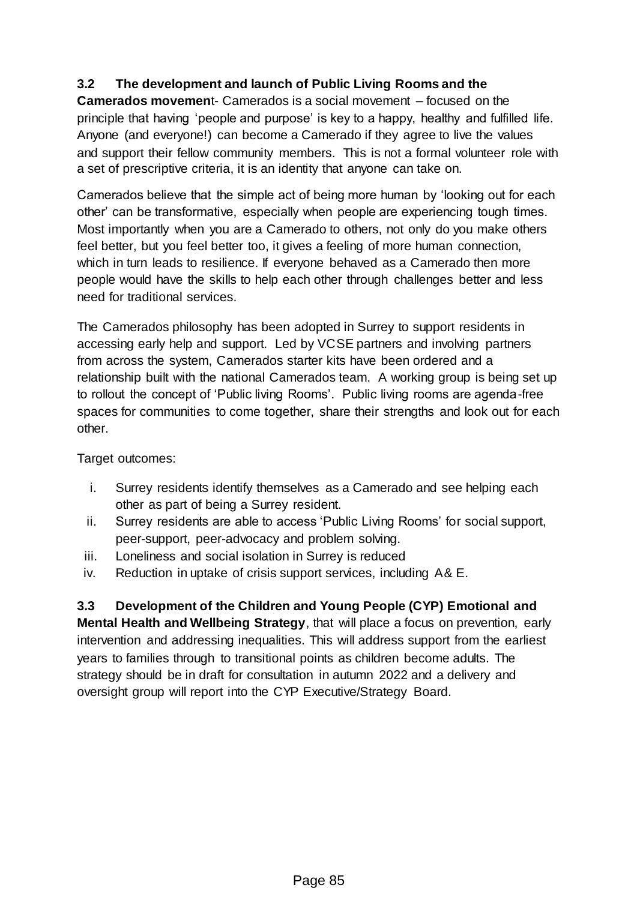#### **3.2 The development and launch of Public Living Rooms and the**

**Camerados movemen**t- Camerados is a social movement – focused on the principle that having 'people and purpose' is key to a happy, healthy and fulfilled life. Anyone (and everyone!) can become a Camerado if they agree to live the values and support their fellow community members. This is not a formal volunteer role with a set of prescriptive criteria, it is an identity that anyone can take on.

Camerados believe that the simple act of being more human by 'looking out for each other' can be transformative, especially when people are experiencing tough times. Most importantly when you are a Camerado to others, not only do you make others feel better, but you feel better too, it gives a feeling of more human connection, which in turn leads to resilience. If everyone behaved as a Camerado then more people would have the skills to help each other through challenges better and less need for traditional services.

The Camerados philosophy has been adopted in Surrey to support residents in accessing early help and support. Led by VCSE partners and involving partners from across the system, Camerados starter kits have been ordered and a relationship built with the national Camerados team. A working group is being set up to rollout the concept of 'Public living Rooms'. Public living rooms are agenda-free spaces for communities to come together, share their strengths and look out for each other.

Target outcomes:

- i. Surrey residents identify themselves as a Camerado and see helping each other as part of being a Surrey resident.
- ii. Surrey residents are able to access 'Public Living Rooms' for social support, peer-support, peer-advocacy and problem solving.
- iii. Loneliness and social isolation in Surrey is reduced
- iv. Reduction in uptake of crisis support services, including A& E.

**3.3 Development of the Children and Young People (CYP) Emotional and Mental Health and Wellbeing Strategy**, that will place a focus on prevention, early intervention and addressing inequalities. This will address support from the earliest years to families through to transitional points as children become adults. The strategy should be in draft for consultation in autumn 2022 and a delivery and oversight group will report into the CYP Executive/Strategy Board.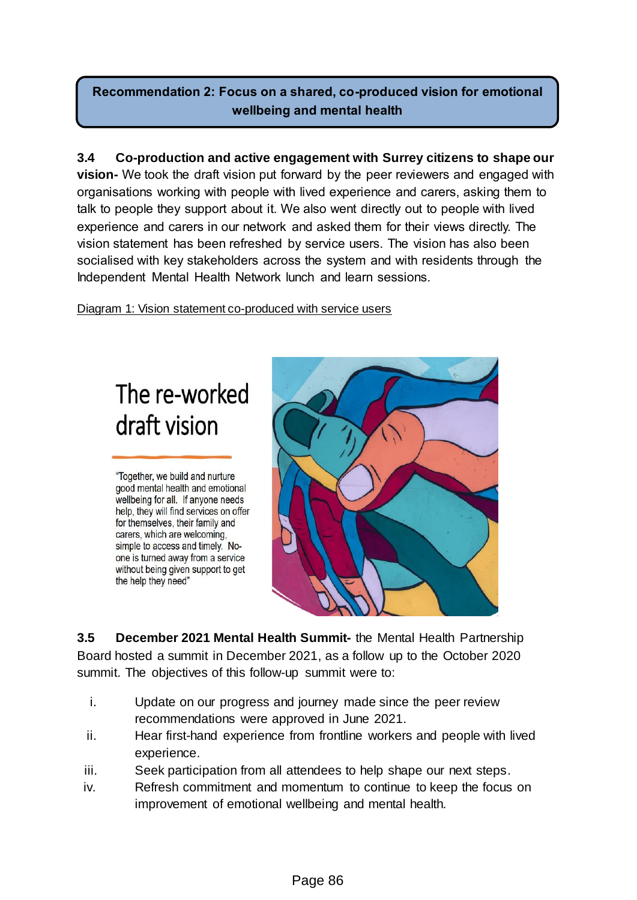# **Recommendation 2: Focus on a shared, co-produced vision for emotional wellbeing and mental health**

**3.4 Co-production and active engagement with Surrey citizens to shape our vision-** We took the draft vision put forward by the peer reviewers and engaged with organisations working with people with lived experience and carers, asking them to talk to people they support about it. We also went directly out to people with lived experience and carers in our network and asked them for their views directly. The vision statement has been refreshed by service users. The vision has also been socialised with key stakeholders across the system and with residents through the Independent Mental Health Network lunch and learn sessions.

Diagram 1: Vision statement co-produced with service users

# The re-worked draft vision

"Together, we build and nurture good mental health and emotional wellbeing for all. If anyone needs help, they will find services on offer for themselves, their family and carers, which are welcoming. simple to access and timely. Noone is turned away from a service without being given support to get the help they need"



**3.5 December 2021 Mental Health Summit-** the Mental Health Partnership Board hosted a summit in December 2021, as a follow up to the October 2020 summit. The objectives of this follow-up summit were to:

- i. Update on our progress and journey made since the peer review recommendations were approved in June 2021.
- ii. Hear first-hand experience from frontline workers and people with lived experience.
- iii. Seek participation from all attendees to help shape our next steps.
- iv. Refresh commitment and momentum to continue to keep the focus on improvement of emotional wellbeing and mental health.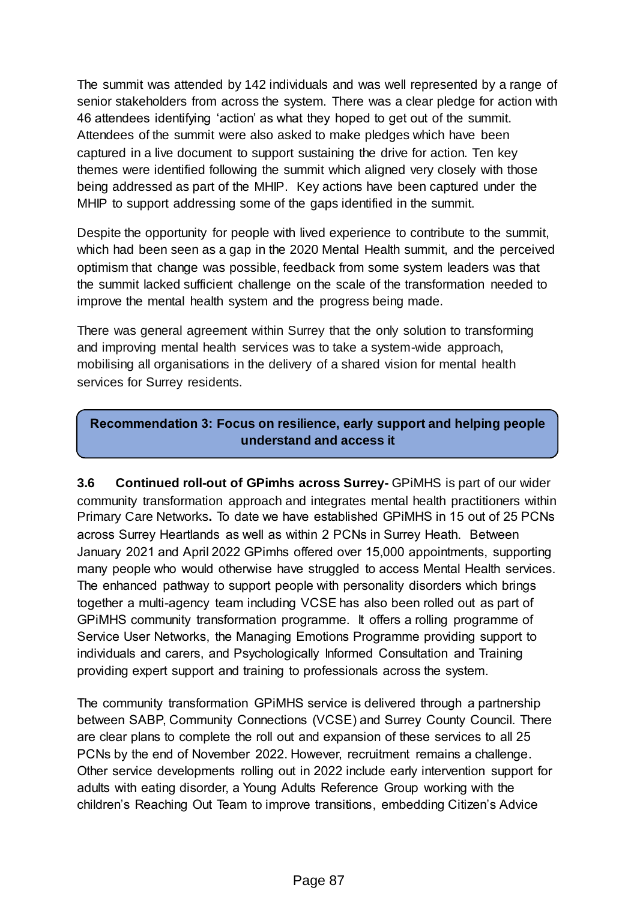The summit was attended by 142 individuals and was well represented by a range of senior stakeholders from across the system. There was a clear pledge for action with 46 attendees identifying 'action' as what they hoped to get out of the summit. Attendees of the summit were also asked to make pledges which have been captured in a live document to support sustaining the drive for action. Ten key themes were identified following the summit which aligned very closely with those being addressed as part of the MHIP. Key actions have been captured under the MHIP to support addressing some of the gaps identified in the summit.

Despite the opportunity for people with lived experience to contribute to the summit, which had been seen as a gap in the 2020 Mental Health summit, and the perceived optimism that change was possible, feedback from some system leaders was that the summit lacked sufficient challenge on the scale of the transformation needed to improve the mental health system and the progress being made.

There was general agreement within Surrey that the only solution to transforming and improving mental health services was to take a system-wide approach, mobilising all organisations in the delivery of a shared vision for mental health services for Surrey residents.

#### **Recommendation 3: Focus on resilience, early support and helping people understand and access it**

**3.6 Continued roll-out of GPimhs across Surrey-** GPiMHS is part of our wider community transformation approach and integrates mental health practitioners within Primary Care Networks**.** To date we have established GPiMHS in 15 out of 25 PCNs across Surrey Heartlands as well as within 2 PCNs in Surrey Heath. Between January 2021 and April 2022 GPimhs offered over 15,000 appointments, supporting many people who would otherwise have struggled to access Mental Health services. The enhanced pathway to support people with personality disorders which brings together a multi-agency team including VCSE has also been rolled out as part of GPiMHS community transformation programme. It offers a rolling programme of Service User Networks, the Managing Emotions Programme providing support to individuals and carers, and Psychologically Informed Consultation and Training providing expert support and training to professionals across the system.

The community transformation GPiMHS service is delivered through a partnership between SABP, Community Connections (VCSE) and Surrey County Council. There are clear plans to complete the roll out and expansion of these services to all 25 PCNs by the end of November 2022. However, recruitment remains a challenge. Other service developments rolling out in 2022 include early intervention support for adults with eating disorder, a Young Adults Reference Group working with the children's Reaching Out Team to improve transitions, embedding Citizen's Advice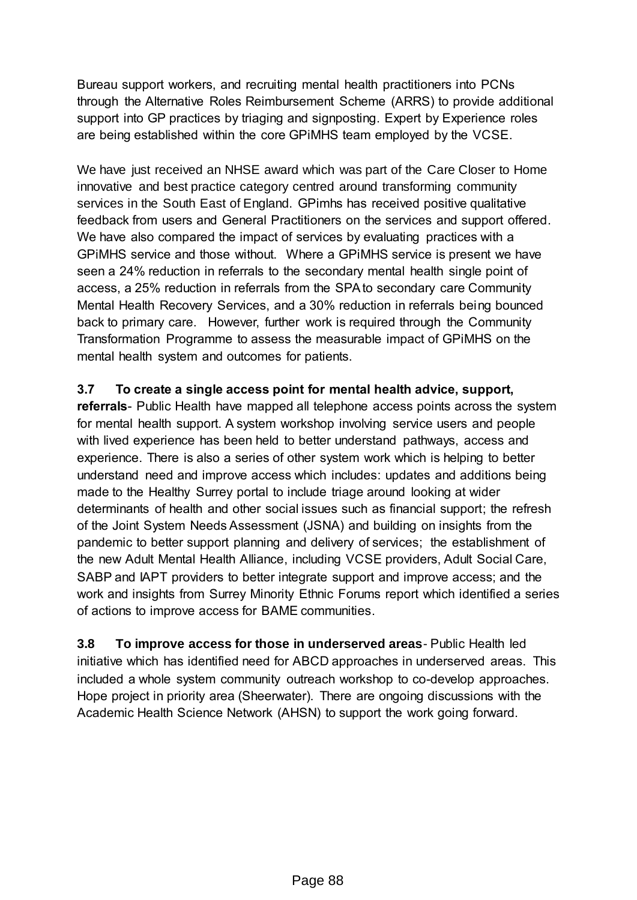Bureau support workers, and recruiting mental health practitioners into PCNs through the Alternative Roles Reimbursement Scheme (ARRS) to provide additional support into GP practices by triaging and signposting. Expert by Experience roles are being established within the core GPiMHS team employed by the VCSE.

We have just received an NHSE award which was part of the Care Closer to Home innovative and best practice category centred around transforming community services in the South East of England. GPimhs has received positive qualitative feedback from users and General Practitioners on the services and support offered. We have also compared the impact of services by evaluating practices with a GPiMHS service and those without. Where a GPiMHS service is present we have seen a 24% reduction in referrals to the secondary mental health single point of access, a 25% reduction in referrals from the SPA to secondary care Community Mental Health Recovery Services, and a 30% reduction in referrals being bounced back to primary care. However, further work is required through the Community Transformation Programme to assess the measurable impact of GPiMHS on the mental health system and outcomes for patients.

**3.7 To create a single access point for mental health advice, support,** 

**referrals**- Public Health have mapped all telephone access points across the system for mental health support. A system workshop involving service users and people with lived experience has been held to better understand pathways, access and experience. There is also a series of other system work which is helping to better understand need and improve access which includes: updates and additions being made to the Healthy Surrey portal to include triage around looking at wider determinants of health and other social issues such as financial support; the refresh of the Joint System Needs Assessment (JSNA) and building on insights from the pandemic to better support planning and delivery of services; the establishment of the new Adult Mental Health Alliance, including VCSE providers, Adult Social Care, SABP and IAPT providers to better integrate support and improve access; and the work and insights from Surrey Minority Ethnic Forums report which identified a series of actions to improve access for BAME communities.

**3.8 To improve access for those in underserved areas**- Public Health led initiative which has identified need for ABCD approaches in underserved areas. This included a whole system community outreach workshop to co-develop approaches. Hope project in priority area (Sheerwater). There are ongoing discussions with the Academic Health Science Network (AHSN) to support the work going forward.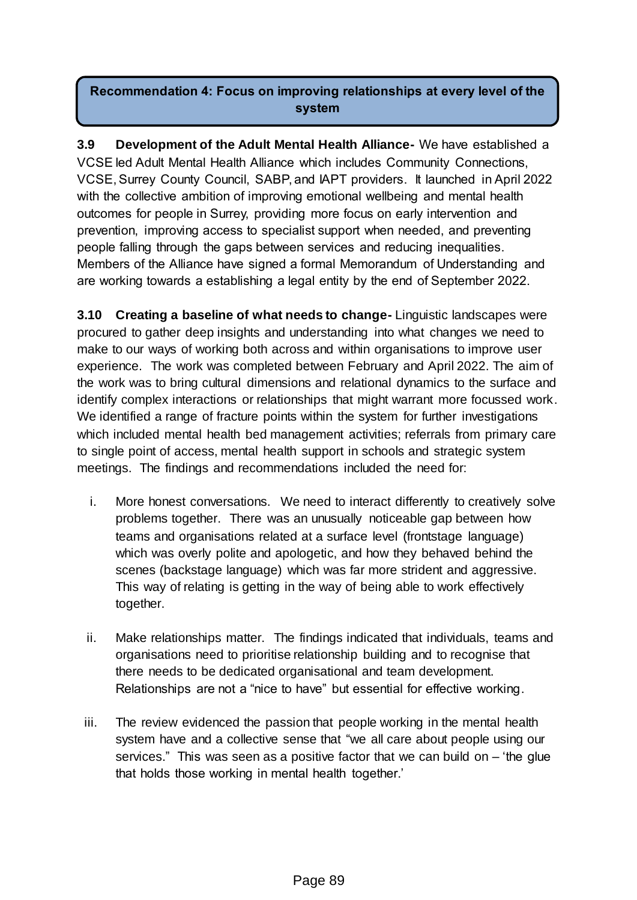## **Recommendation 4: Focus on improving relationships at every level of the system**

**3.9 Development of the Adult Mental Health Alliance-** We have established a VCSE led Adult Mental Health Alliance which includes Community Connections, VCSE, Surrey County Council, SABP, and IAPT providers. It launched in April 2022 with the collective ambition of improving emotional wellbeing and mental health outcomes for people in Surrey, providing more focus on early intervention and prevention, improving access to specialist support when needed, and preventing people falling through the gaps between services and reducing inequalities. Members of the Alliance have signed a formal Memorandum of Understanding and are working towards a establishing a legal entity by the end of September 2022.

**3.10 Creating a baseline of what needs to change-** Linguistic landscapes were procured to gather deep insights and understanding into what changes we need to make to our ways of working both across and within organisations to improve user experience. The work was completed between February and April 2022. The aim of the work was to bring cultural dimensions and relational dynamics to the surface and identify complex interactions or relationships that might warrant more focussed work. We identified a range of fracture points within the system for further investigations which included mental health bed management activities; referrals from primary care to single point of access, mental health support in schools and strategic system meetings. The findings and recommendations included the need for:

- i. More honest conversations. We need to interact differently to creatively solve problems together. There was an unusually noticeable gap between how teams and organisations related at a surface level (frontstage language) which was overly polite and apologetic, and how they behaved behind the scenes (backstage language) which was far more strident and aggressive. This way of relating is getting in the way of being able to work effectively together.
- ii. Make relationships matter. The findings indicated that individuals, teams and organisations need to prioritise relationship building and to recognise that there needs to be dedicated organisational and team development. Relationships are not a "nice to have" but essential for effective working.
- iii. The review evidenced the passion that people working in the mental health system have and a collective sense that "we all care about people using our services." This was seen as a positive factor that we can build on – 'the glue that holds those working in mental health together.'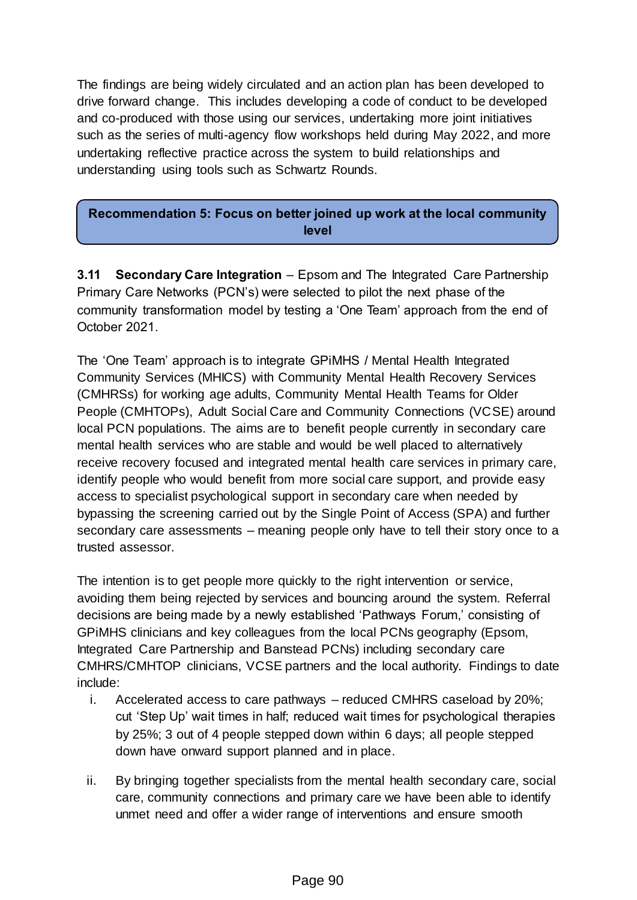The findings are being widely circulated and an action plan has been developed to drive forward change. This includes developing a code of conduct to be developed and co-produced with those using our services, undertaking more joint initiatives such as the series of multi-agency flow workshops held during May 2022, and more undertaking reflective practice across the system to build relationships and understanding using tools such as Schwartz Rounds.

#### **Recommendation 5: Focus on better joined up work at the local community level**

**3.11 Secondary Care Integration** – Epsom and The Integrated Care Partnership Primary Care Networks (PCN's) were selected to pilot the next phase of the community transformation model by testing a 'One Team' approach from the end of October 2021.

The 'One Team' approach is to integrate GPiMHS / Mental Health Integrated Community Services (MHICS) with Community Mental Health Recovery Services (CMHRSs) for working age adults, Community Mental Health Teams for Older People (CMHTOPs), Adult Social Care and Community Connections (VCSE) around local PCN populations. The aims are to benefit people currently in secondary care mental health services who are stable and would be well placed to alternatively receive recovery focused and integrated mental health care services in primary care, identify people who would benefit from more social care support, and provide easy access to specialist psychological support in secondary care when needed by bypassing the screening carried out by the Single Point of Access (SPA) and further secondary care assessments – meaning people only have to tell their story once to a trusted assessor.

The intention is to get people more quickly to the right intervention or service, avoiding them being rejected by services and bouncing around the system. Referral decisions are being made by a newly established 'Pathways Forum,' consisting of GPiMHS clinicians and key colleagues from the local PCNs geography (Epsom, Integrated Care Partnership and Banstead PCNs) including secondary care CMHRS/CMHTOP clinicians, VCSE partners and the local authority. Findings to date include:

- i. Accelerated access to care pathways reduced CMHRS caseload by 20%; cut 'Step Up' wait times in half; reduced wait times for psychological therapies by 25%; 3 out of 4 people stepped down within 6 days; all people stepped down have onward support planned and in place.
- ii. By bringing together specialists from the mental health secondary care, social care, community connections and primary care we have been able to identify unmet need and offer a wider range of interventions and ensure smooth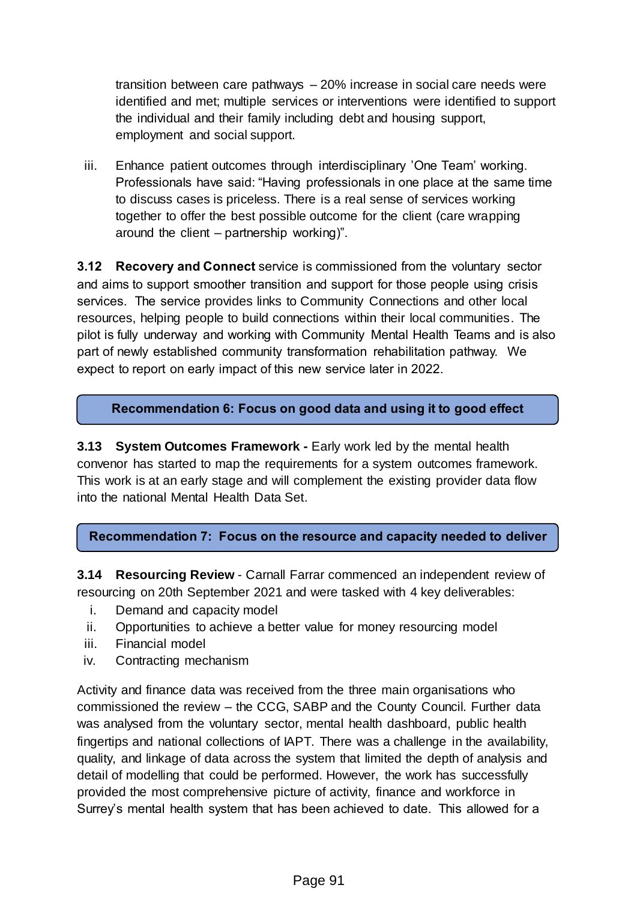transition between care pathways – 20% increase in social care needs were identified and met; multiple services or interventions were identified to support the individual and their family including debt and housing support, employment and social support.

iii. Enhance patient outcomes through interdisciplinary 'One Team' working. Professionals have said: "Having professionals in one place at the same time to discuss cases is priceless. There is a real sense of services working together to offer the best possible outcome for the client (care wrapping around the client – partnership working)".

**3.12 Recovery and Connect** service is commissioned from the voluntary sector and aims to support smoother transition and support for those people using crisis services. The service provides links to Community Connections and other local resources, helping people to build connections within their local communities. The pilot is fully underway and working with Community Mental Health Teams and is also part of newly established community transformation rehabilitation pathway. We expect to report on early impact of this new service later in 2022.

**Recommendation 6: Focus on good data and using it to good effect**

**3.13 System Outcomes Framework -** Early work led by the mental health convenor has started to map the requirements for a system outcomes framework. This work is at an early stage and will complement the existing provider data flow into the national Mental Health Data Set.

**Recommendation 7: Focus on the resource and capacity needed to deliver**

**3.14 Resourcing Review** - Carnall Farrar commenced an independent review of resourcing on 20th September 2021 and were tasked with 4 key deliverables:

- i. Demand and capacity model
- ii. Opportunities to achieve a better value for money resourcing model
- iii. Financial model
- iv. Contracting mechanism

Activity and finance data was received from the three main organisations who commissioned the review – the CCG, SABP and the County Council. Further data was analysed from the voluntary sector, mental health dashboard, public health fingertips and national collections of IAPT. There was a challenge in the availability, quality, and linkage of data across the system that limited the depth of analysis and detail of modelling that could be performed. However, the work has successfully provided the most comprehensive picture of activity, finance and workforce in Surrey's mental health system that has been achieved to date. This allowed for a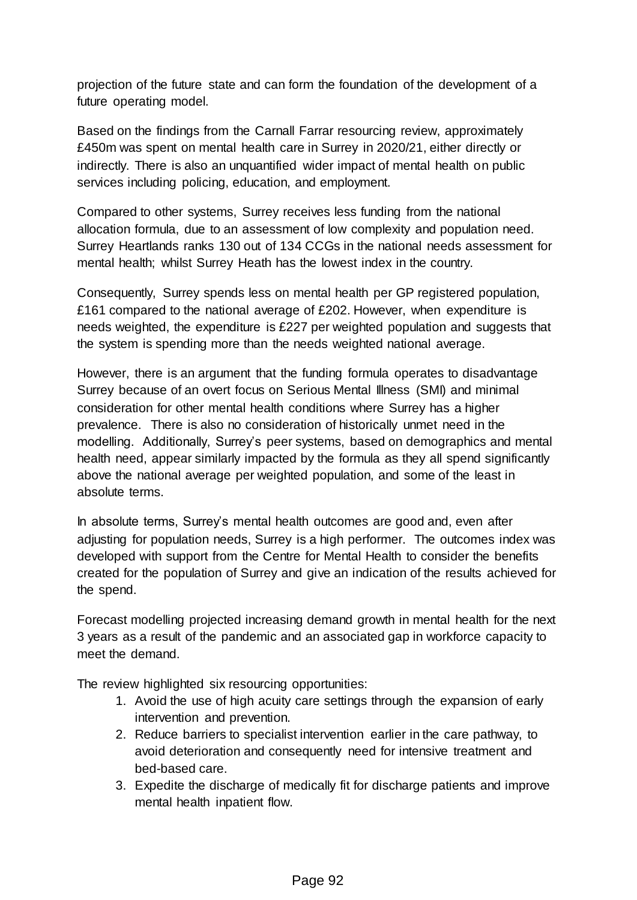projection of the future state and can form the foundation of the development of a future operating model.

Based on the findings from the Carnall Farrar resourcing review, approximately £450m was spent on mental health care in Surrey in 2020/21, either directly or indirectly. There is also an unquantified wider impact of mental health on public services including policing, education, and employment.

Compared to other systems, Surrey receives less funding from the national allocation formula, due to an assessment of low complexity and population need. Surrey Heartlands ranks 130 out of 134 CCGs in the national needs assessment for mental health; whilst Surrey Heath has the lowest index in the country.

Consequently, Surrey spends less on mental health per GP registered population, £161 compared to the national average of £202. However, when expenditure is needs weighted, the expenditure is £227 per weighted population and suggests that the system is spending more than the needs weighted national average.

However, there is an argument that the funding formula operates to disadvantage Surrey because of an overt focus on Serious Mental Illness (SMI) and minimal consideration for other mental health conditions where Surrey has a higher prevalence. There is also no consideration of historically unmet need in the modelling. Additionally, Surrey's peer systems, based on demographics and mental health need, appear similarly impacted by the formula as they all spend significantly above the national average per weighted population, and some of the least in absolute terms.

In absolute terms, Surrey's mental health outcomes are good and, even after adjusting for population needs, Surrey is a high performer. The outcomes index was developed with support from the Centre for Mental Health to consider the benefits created for the population of Surrey and give an indication of the results achieved for the spend.

Forecast modelling projected increasing demand growth in mental health for the next 3 years as a result of the pandemic and an associated gap in workforce capacity to meet the demand.

The review highlighted six resourcing opportunities:

- 1. Avoid the use of high acuity care settings through the expansion of early intervention and prevention.
- 2. Reduce barriers to specialist intervention earlier in the care pathway, to avoid deterioration and consequently need for intensive treatment and bed-based care.
- 3. Expedite the discharge of medically fit for discharge patients and improve mental health inpatient flow.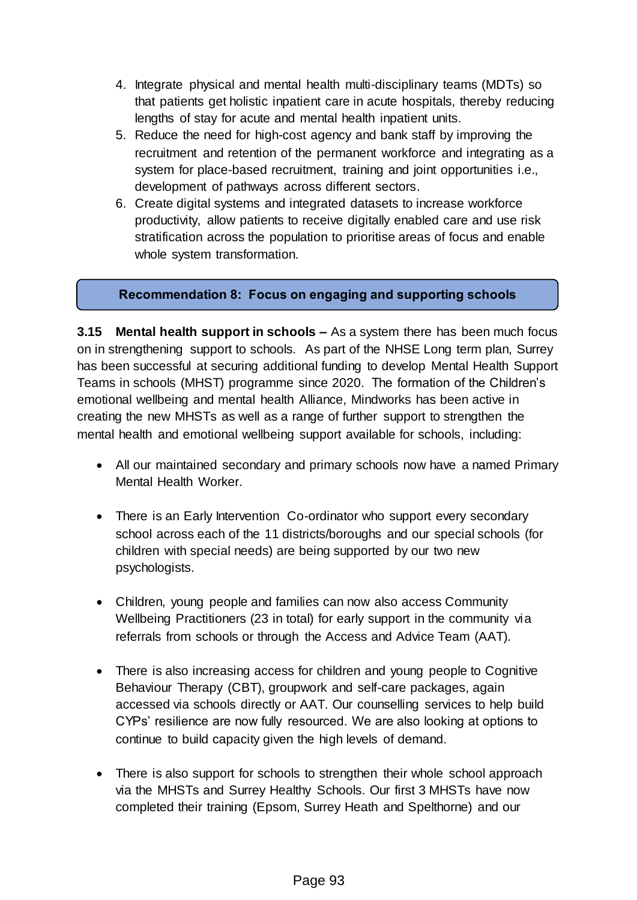- 4. Integrate physical and mental health multi-disciplinary teams (MDTs) so that patients get holistic inpatient care in acute hospitals, thereby reducing lengths of stay for acute and mental health inpatient units.
- 5. Reduce the need for high-cost agency and bank staff by improving the recruitment and retention of the permanent workforce and integrating as a system for place-based recruitment, training and joint opportunities i.e., development of pathways across different sectors.
- 6. Create digital systems and integrated datasets to increase workforce productivity, allow patients to receive digitally enabled care and use risk stratification across the population to prioritise areas of focus and enable whole system transformation.

#### **Recommendation 8: Focus on engaging and supporting schools**

**3.15 Mental health support in schools –** As a system there has been much focus on in strengthening support to schools. As part of the NHSE Long term plan, Surrey has been successful at securing additional funding to develop Mental Health Support Teams in schools (MHST) programme since 2020. The formation of the Children's emotional wellbeing and mental health Alliance, Mindworks has been active in creating the new MHSTs as well as a range of further support to strengthen the mental health and emotional wellbeing support available for schools, including:

- All our maintained secondary and primary schools now have a named Primary Mental Health Worker.
- There is an Early Intervention Co-ordinator who support every secondary school across each of the 11 districts/boroughs and our special schools (for children with special needs) are being supported by our two new psychologists.
- Children, young people and families can now also access Community Wellbeing Practitioners (23 in total) for early support in the community via referrals from schools or through the Access and Advice Team (AAT).
- There is also increasing access for children and young people to Cognitive Behaviour Therapy (CBT), groupwork and self-care packages, again accessed via schools directly or AAT. Our counselling services to help build CYPs' resilience are now fully resourced. We are also looking at options to continue to build capacity given the high levels of demand.
- There is also support for schools to strengthen their whole school approach via the MHSTs and Surrey Healthy Schools. Our first 3 MHSTs have now completed their training (Epsom, Surrey Heath and Spelthorne) and our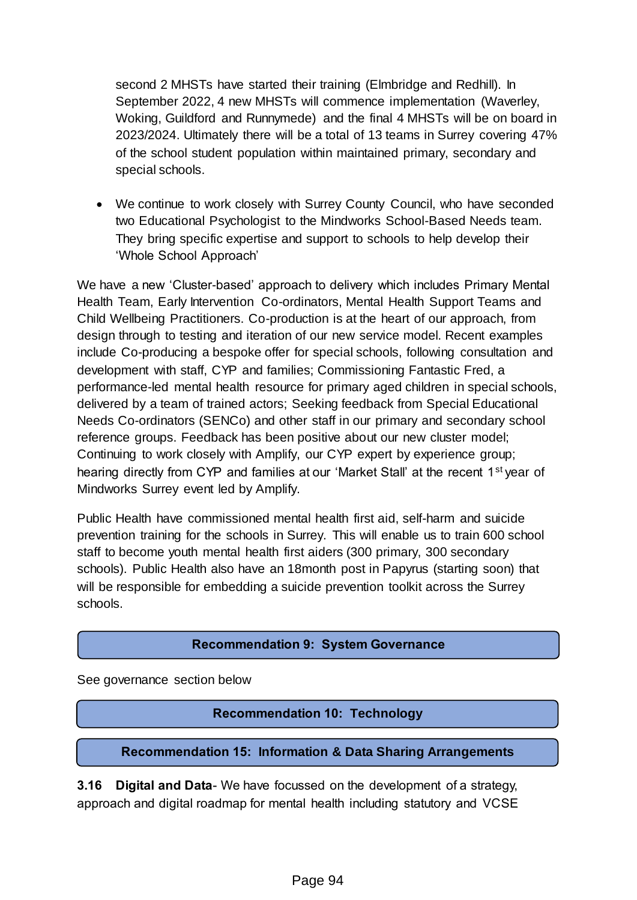second 2 MHSTs have started their training (Elmbridge and Redhill). In September 2022, 4 new MHSTs will commence implementation (Waverley, Woking, Guildford and Runnymede) and the final 4 MHSTs will be on board in 2023/2024. Ultimately there will be a total of 13 teams in Surrey covering 47% of the school student population within maintained primary, secondary and special schools.

 We continue to work closely with Surrey County Council, who have seconded two Educational Psychologist to the Mindworks School-Based Needs team. They bring specific expertise and support to schools to help develop their 'Whole School Approach'

We have a new 'Cluster-based' approach to delivery which includes Primary Mental Health Team, Early Intervention Co-ordinators, Mental Health Support Teams and Child Wellbeing Practitioners. Co-production is at the heart of our approach, from design through to testing and iteration of our new service model. Recent examples include Co-producing a bespoke offer for special schools, following consultation and development with staff, CYP and families; Commissioning Fantastic Fred, a performance-led mental health resource for primary aged children in special schools, delivered by a team of trained actors; Seeking feedback from Special Educational Needs Co-ordinators (SENCo) and other staff in our primary and secondary school reference groups. Feedback has been positive about our new cluster model; Continuing to work closely with Amplify, our CYP expert by experience group; hearing directly from CYP and families at our 'Market Stall' at the recent 1<sup>st</sup> year of Mindworks Surrey event led by Amplify.

Public Health have commissioned mental health first aid, self-harm and suicide prevention training for the schools in Surrey. This will enable us to train 600 school staff to become youth mental health first aiders (300 primary, 300 secondary schools). Public Health also have an 18month post in Papyrus (starting soon) that will be responsible for embedding a suicide prevention toolkit across the Surrey schools.

#### **Recommendation 9: System Governance**

See governance section below

#### **Recommendation 10: Technology**

#### **Recommendation 15: Information & Data Sharing Arrangements**

**3.16 Digital and Data**- We have focussed on the development of a strategy, approach and digital roadmap for mental health including statutory and VCSE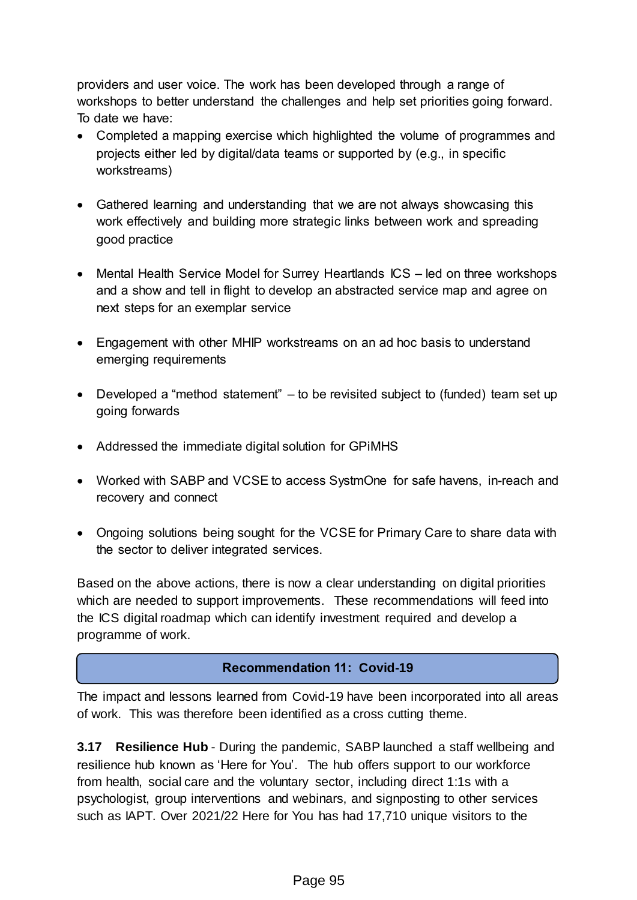providers and user voice. The work has been developed through a range of workshops to better understand the challenges and help set priorities going forward. To date we have:

- Completed a mapping exercise which highlighted the volume of programmes and projects either led by digital/data teams or supported by (e.g., in specific workstreams)
- Gathered learning and understanding that we are not always showcasing this work effectively and building more strategic links between work and spreading good practice
- Mental Health Service Model for Surrey Heartlands ICS led on three workshops and a show and tell in flight to develop an abstracted service map and agree on next steps for an exemplar service
- Engagement with other MHIP workstreams on an ad hoc basis to understand emerging requirements
- Developed a "method statement" to be revisited subject to (funded) team set up going forwards
- Addressed the immediate digital solution for GPiMHS
- Worked with SABP and VCSE to access SystmOne for safe havens, in-reach and recovery and connect
- Ongoing solutions being sought for the VCSE for Primary Care to share data with the sector to deliver integrated services.

Based on the above actions, there is now a clear understanding on digital priorities which are needed to support improvements. These recommendations will feed into the ICS digital roadmap which can identify investment required and develop a programme of work.

#### **Recommendation 11: Covid-19**

The impact and lessons learned from Covid-19 have been incorporated into all areas of work. This was therefore been identified as a cross cutting theme.

**3.17 Resilience Hub** - During the pandemic, SABP launched a staff wellbeing and resilience hub known as 'Here for You'. The hub offers support to our workforce from health, social care and the voluntary sector, including direct 1:1s with a psychologist, group interventions and webinars, and signposting to other services such as IAPT. Over 2021/22 Here for You has had 17,710 unique visitors to the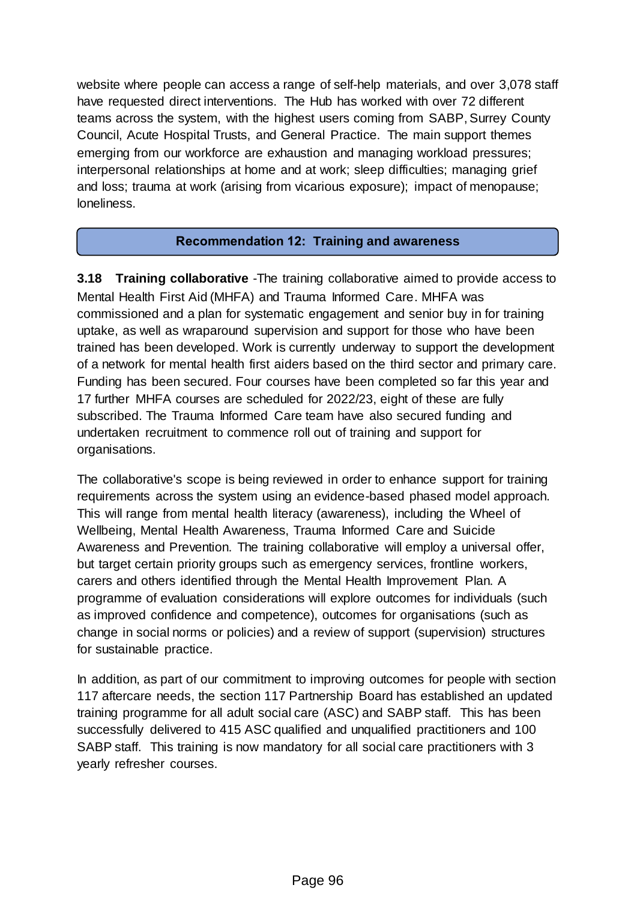website where people can access a range of self-help materials, and over 3,078 staff have requested direct interventions. The Hub has worked with over 72 different teams across the system, with the highest users coming from SABP, Surrey County Council, Acute Hospital Trusts, and General Practice. The main support themes emerging from our workforce are exhaustion and managing workload pressures; interpersonal relationships at home and at work; sleep difficulties; managing grief and loss; trauma at work (arising from vicarious exposure); impact of menopause; loneliness.

#### **Recommendation 12: Training and awareness**

**3.18 Training collaborative** -The training collaborative aimed to provide access to Mental Health First Aid (MHFA) and Trauma Informed Care. MHFA was commissioned and a plan for systematic engagement and senior buy in for training uptake, as well as wraparound supervision and support for those who have been trained has been developed. Work is currently underway to support the development of a network for mental health first aiders based on the third sector and primary care. Funding has been secured. Four courses have been completed so far this year and 17 further MHFA courses are scheduled for 2022/23, eight of these are fully subscribed. The Trauma Informed Care team have also secured funding and undertaken recruitment to commence roll out of training and support for organisations.

The collaborative's scope is being reviewed in order to enhance support for training requirements across the system using an evidence-based phased model approach. This will range from mental health literacy (awareness), including the Wheel of Wellbeing, Mental Health Awareness, Trauma Informed Care and Suicide Awareness and Prevention. The training collaborative will employ a universal offer, but target certain priority groups such as emergency services, frontline workers, carers and others identified through the Mental Health Improvement Plan. A programme of evaluation considerations will explore outcomes for individuals (such as improved confidence and competence), outcomes for organisations (such as change in social norms or policies) and a review of support (supervision) structures for sustainable practice.

In addition, as part of our commitment to improving outcomes for people with section 117 aftercare needs, the section 117 Partnership Board has established an updated training programme for all adult social care (ASC) and SABP staff. This has been successfully delivered to 415 ASC qualified and unqualified practitioners and 100 SABP staff. This training is now mandatory for all social care practitioners with 3 yearly refresher courses.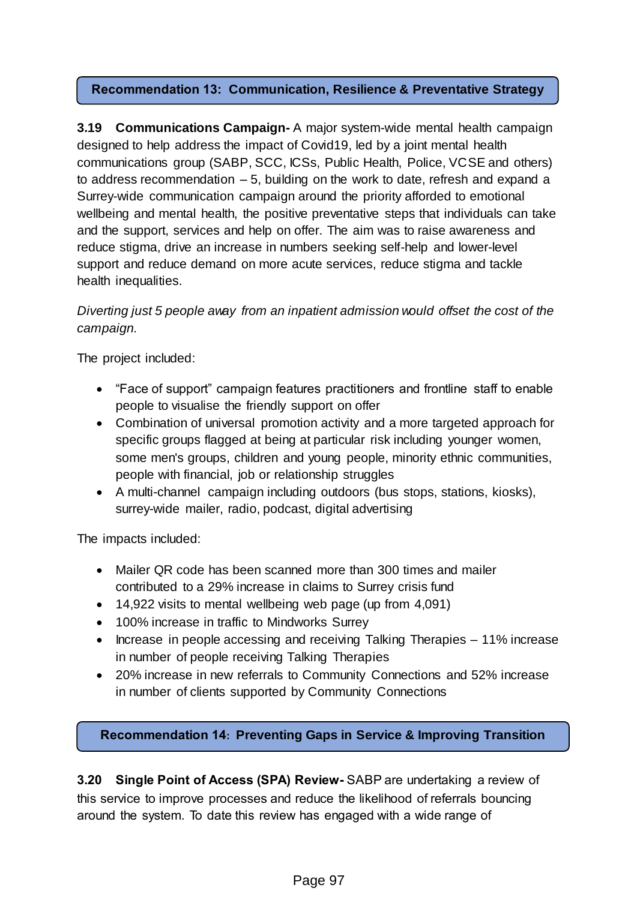#### **Recommendation 13: Communication, Resilience & Preventative Strategy**

**3.19 Communications Campaign-** A major system-wide mental health campaign designed to help address the impact of Covid19, led by a joint mental health communications group (SABP, SCC, ICSs, Public Health, Police, VCSE and others) to address recommendation – 5, building on the work to date, refresh and expand a Surrey-wide communication campaign around the priority afforded to emotional wellbeing and mental health, the positive preventative steps that individuals can take and the support, services and help on offer. The aim was to raise awareness and reduce stigma, drive an increase in numbers seeking self-help and lower-level support and reduce demand on more acute services, reduce stigma and tackle health inequalities.

## *Diverting just 5 people away from an inpatient admission would offset the cost of the campaign.*

The project included:

- "Face of support" campaign features practitioners and frontline staff to enable people to visualise the friendly support on offer
- Combination of universal promotion activity and a more targeted approach for specific groups flagged at being at particular risk including younger women, some men's groups, children and young people, minority ethnic communities, people with financial, job or relationship struggles
- A multi-channel campaign including outdoors (bus stops, stations, kiosks), surrey-wide mailer, radio, podcast, digital advertising

The impacts included:

- Mailer QR code has been scanned more than 300 times and mailer contributed to a 29% increase in claims to Surrey crisis fund
- 14,922 visits to mental wellbeing web page (up from 4,091)
- 100% increase in traffic to Mindworks Surrey
- Increase in people accessing and receiving Talking Therapies 11% increase in number of people receiving Talking Therapies
- 20% increase in new referrals to Community Connections and 52% increase in number of clients supported by Community Connections

**Recommendation 14: Preventing Gaps in Service & Improving Transition**

**3.20 Single Point of Access (SPA) Review-** SABP are undertaking a review of this service to improve processes and reduce the likelihood of referrals bouncing **People** around the system. To date this review has engaged with a wide range of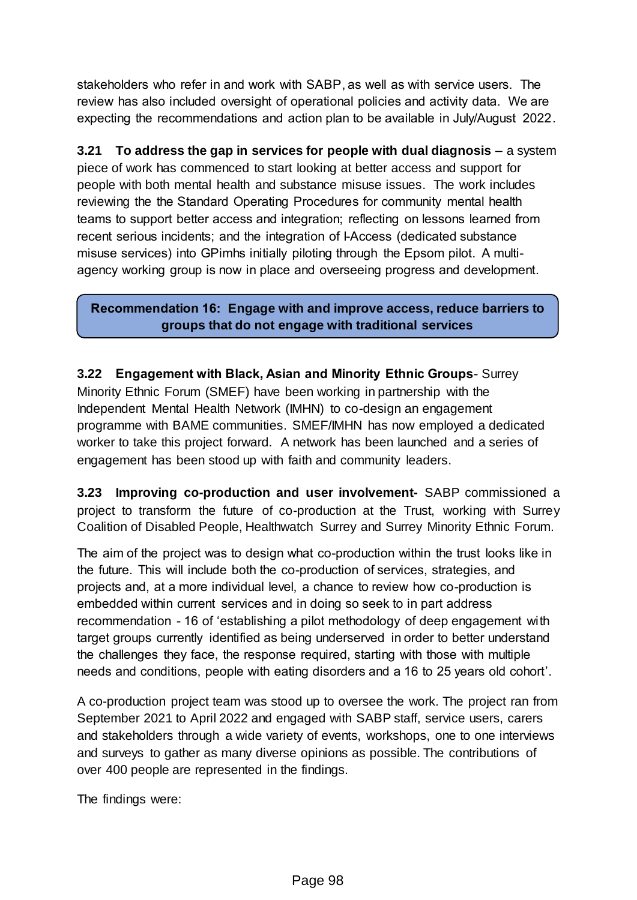stakeholders who refer in and work with SABP, as well as with service users. The review has also included oversight of operational policies and activity data. We are expecting the recommendations and action plan to be available in July/August 2022.

**3.21 To address the gap in services for people with dual diagnosis** – a system piece of work has commenced to start looking at better access and support for people with both mental health and substance misuse issues. The work includes reviewing the the Standard Operating Procedures for community mental health teams to support better access and integration; reflecting on lessons learned from recent serious incidents; and the integration of I-Access (dedicated substance misuse services) into GPimhs initially piloting through the Epsom pilot. A multiagency working group is now in place and overseeing progress and development.

#### **Recommendation 16: Engage with and improve access, reduce barriers to groups that do not engage with traditional services**

**3.22 Engagement with Black, Asian and Minority Ethnic Groups**- Surrey Minority Ethnic Forum (SMEF) have been working in partnership with the Independent Mental Health Network (IMHN) to co-design an engagement programme with BAME communities. SMEF/IMHN has now employed a dedicated worker to take this project forward. A network has been launched and a series of engagement has been stood up with faith and community leaders.

**3.23 Improving co-production and user involvement-** SABP commissioned a project to transform the future of co-production at the Trust, working with Surrey Coalition of Disabled People, Healthwatch Surrey and Surrey Minority Ethnic Forum.

The aim of the project was to design what co-production within the trust looks like in the future. This will include both the co-production of services, strategies, and projects and, at a more individual level, a chance to review how co-production is embedded within current services and in doing so seek to in part address recommendation - 16 of 'establishing a pilot methodology of deep engagement with target groups currently identified as being underserved in order to better understand the challenges they face, the response required, starting with those with multiple needs and conditions, people with eating disorders and a 16 to 25 years old cohort'.

A co-production project team was stood up to oversee the work. The project ran from September 2021 to April 2022 and engaged with SABP staff, service users, carers and stakeholders through a wide variety of events, workshops, one to one interviews and surveys to gather as many diverse opinions as possible. The contributions of over 400 people are represented in the findings.

The findings were: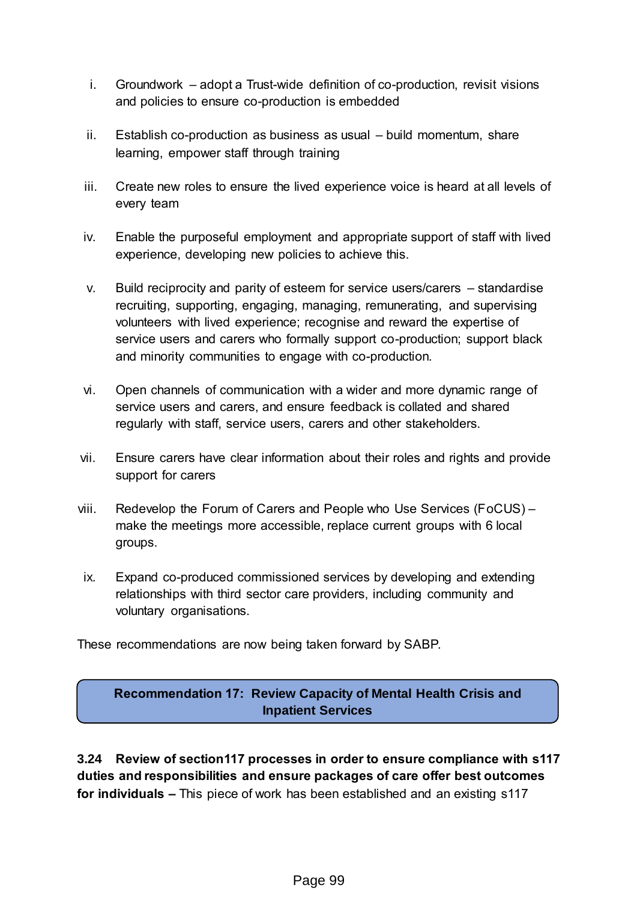- i. Groundwork adopt a Trust-wide definition of co-production, revisit visions and policies to ensure co-production is embedded
- ii. Establish co-production as business as usual build momentum, share learning, empower staff through training
- iii. Create new roles to ensure the lived experience voice is heard at all levels of every team
- iv. Enable the purposeful employment and appropriate support of staff with lived experience, developing new policies to achieve this.
- v. Build reciprocity and parity of esteem for service users/carers standardise recruiting, supporting, engaging, managing, remunerating, and supervising volunteers with lived experience; recognise and reward the expertise of service users and carers who formally support co-production; support black and minority communities to engage with co-production.
- vi. Open channels of communication with a wider and more dynamic range of service users and carers, and ensure feedback is collated and shared regularly with staff, service users, carers and other stakeholders.
- vii. Ensure carers have clear information about their roles and rights and provide support for carers
- viii. Redevelop the Forum of Carers and People who Use Services (FoCUS) make the meetings more accessible, replace current groups with 6 local groups.
- ix. Expand co-produced commissioned services by developing and extending relationships with third sector care providers, including community and voluntary organisations.

These recommendations are now being taken forward by SABP.

## **Recommendation 17: Review Capacity of Mental Health Crisis and Inpatient Services**

**3.24 Review of section117 processes in order to ensure compliance with s117 duties and responsibilities and ensure packages of care offer best outcomes for individuals –** This piece of work has been established and an existing s117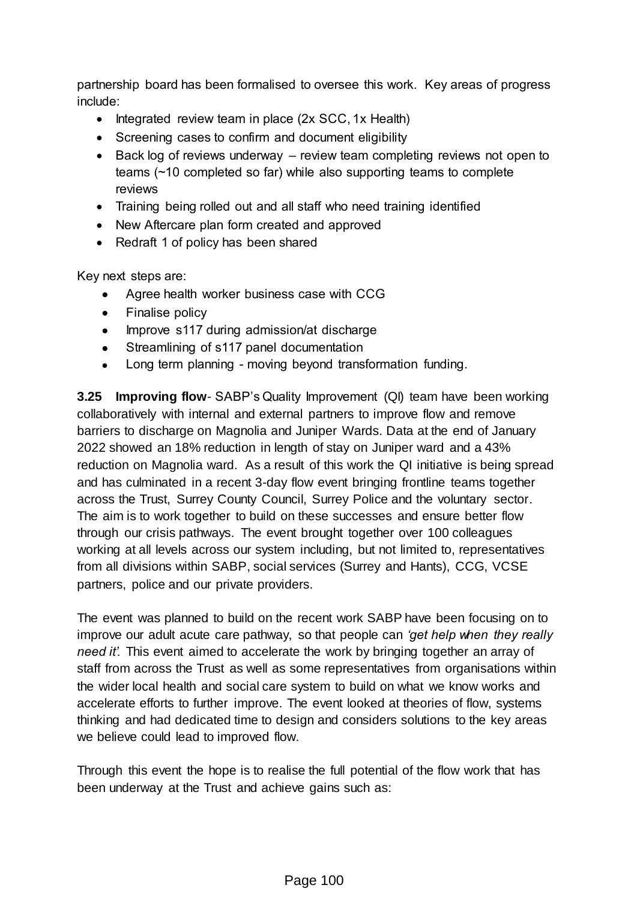partnership board has been formalised to oversee this work. Key areas of progress include:

- $\bullet$  Integrated review team in place (2x SCC, 1x Health)
- Screening cases to confirm and document eligibility
- Back log of reviews underway review team completing reviews not open to teams (~10 completed so far) while also supporting teams to complete reviews
- Training being rolled out and all staff who need training identified
- New Aftercare plan form created and approved
- Redraft 1 of policy has been shared

Key next steps are:

- Agree health worker business case with CCG
- Finalise policy
- Improve s117 during admission/at discharge
- Streamlining of s117 panel documentation
- Long term planning moving beyond transformation funding.

**3.25 Improving flow**- SABP's Quality Improvement (QI) team have been working collaboratively with internal and external partners to improve flow and remove barriers to discharge on Magnolia and Juniper Wards. Data at the end of January 2022 showed an 18% reduction in length of stay on Juniper ward and a 43% reduction on Magnolia ward. As a result of this work the QI initiative is being spread and has culminated in a recent 3-day flow event bringing frontline teams together across the Trust, Surrey County Council, Surrey Police and the voluntary sector. The aim is to work together to build on these successes and ensure better flow through our crisis pathways. The event brought together over 100 colleagues working at all levels across our system including, but not limited to, representatives from all divisions within SABP, social services (Surrey and Hants), CCG, VCSE partners, police and our private providers.

The event was planned to build on the recent work SABP have been focusing on to improve our adult acute care pathway, so that people can *'get help when they really need it'.* This event aimed to accelerate the work by bringing together an array of staff from across the Trust as well as some representatives from organisations within the wider local health and social care system to build on what we know works and accelerate efforts to further improve. The event looked at theories of flow, systems thinking and had dedicated time to design and considers solutions to the key areas we believe could lead to improved flow.

Through this event the hope is to realise the full potential of the flow work that has been underway at the Trust and achieve gains such as: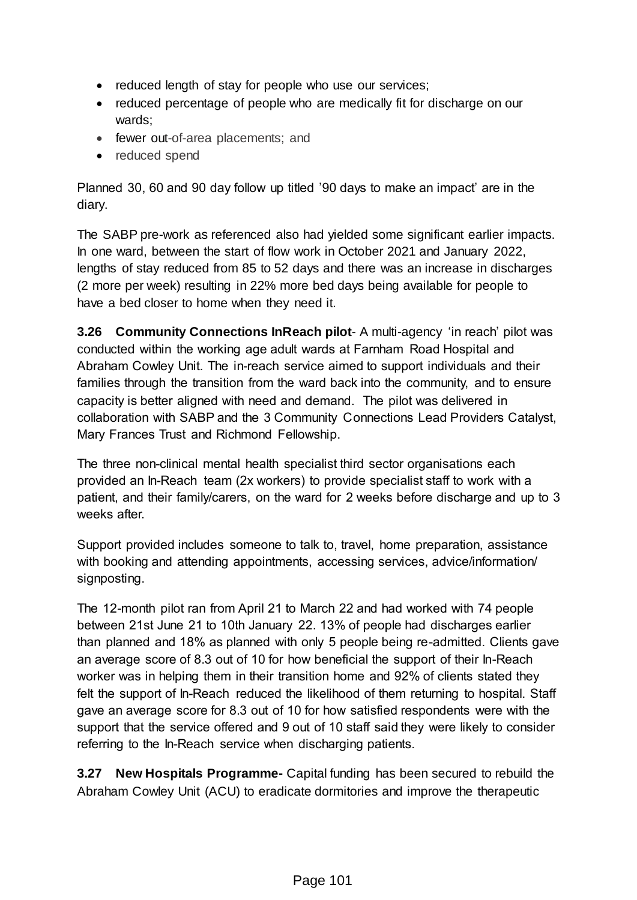- reduced length of stay for people who use our services;
- reduced percentage of people who are medically fit for discharge on our wards;
- fewer out-of-area placements; and
- reduced spend

Planned 30, 60 and 90 day follow up titled '90 days to make an impact' are in the diary.

The SABP pre-work as referenced also had yielded some significant earlier impacts. In one ward, between the start of flow work in October 2021 and January 2022, lengths of stay reduced from 85 to 52 days and there was an increase in discharges (2 more per week) resulting in 22% more bed days being available for people to have a bed closer to home when they need it.

**3.26 Community Connections InReach pilot**- A multi-agency 'in reach' pilot was conducted within the working age adult wards at Farnham Road Hospital and Abraham Cowley Unit. The in-reach service aimed to support individuals and their families through the transition from the ward back into the community, and to ensure capacity is better aligned with need and demand. The pilot was delivered in collaboration with SABP and the 3 Community Connections Lead Providers Catalyst, Mary Frances Trust and Richmond Fellowship.

The three non-clinical mental health specialist third sector organisations each provided an In-Reach team (2x workers) to provide specialist staff to work with a patient, and their family/carers, on the ward for 2 weeks before discharge and up to 3 weeks after.

Support provided includes someone to talk to, travel, home preparation, assistance with booking and attending appointments, accessing services, advice/information/ signposting.

The 12-month pilot ran from April 21 to March 22 and had worked with 74 people between 21st June 21 to 10th January 22. 13% of people had discharges earlier than planned and 18% as planned with only 5 people being re-admitted. Clients gave an average score of 8.3 out of 10 for how beneficial the support of their In-Reach worker was in helping them in their transition home and 92% of clients stated they felt the support of In-Reach reduced the likelihood of them returning to hospital. Staff gave an average score for 8.3 out of 10 for how satisfied respondents were with the support that the service offered and 9 out of 10 staff said they were likely to consider referring to the In-Reach service when discharging patients.

**3.27 New Hospitals Programme-** Capital funding has been secured to rebuild the Abraham Cowley Unit (ACU) to eradicate dormitories and improve the therapeutic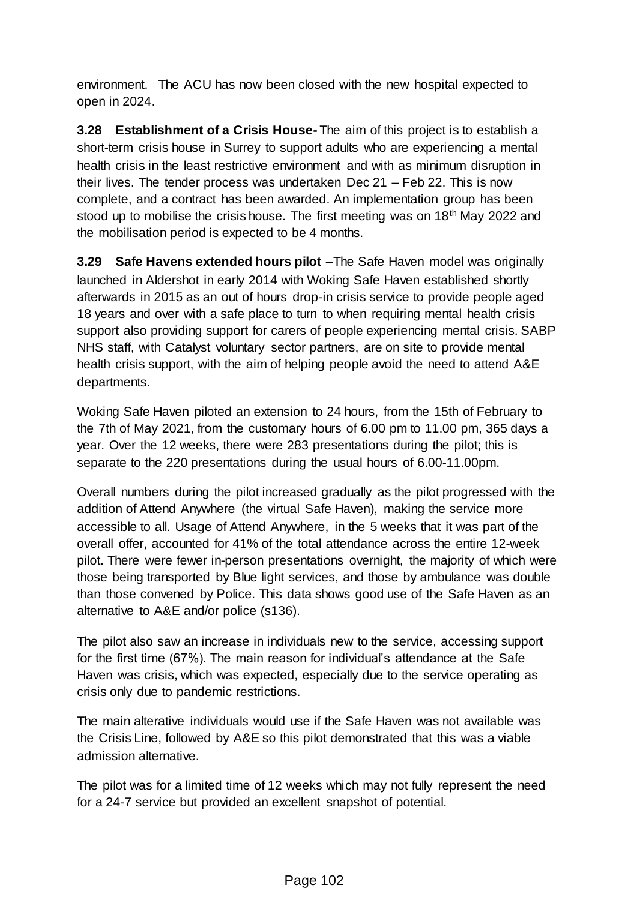environment. The ACU has now been closed with the new hospital expected to open in 2024.

**3.28 Establishment of a Crisis House-** The aim of this project is to establish a short-term crisis house in Surrey to support adults who are experiencing a mental health crisis in the least restrictive environment and with as minimum disruption in their lives. The tender process was undertaken Dec 21 – Feb 22. This is now complete, and a contract has been awarded. An implementation group has been stood up to mobilise the crisis house. The first meeting was on 18<sup>th</sup> May 2022 and the mobilisation period is expected to be 4 months.

**3.29 Safe Havens extended hours pilot –**The Safe Haven model was originally launched in Aldershot in early 2014 with Woking Safe Haven established shortly afterwards in 2015 as an out of hours drop-in crisis service to provide people aged 18 years and over with a safe place to turn to when requiring mental health crisis support also providing support for carers of people experiencing mental crisis. SABP NHS staff, with Catalyst voluntary sector partners, are on site to provide mental health crisis support, with the aim of helping people avoid the need to attend A&E departments.

Woking Safe Haven piloted an extension to 24 hours, from the 15th of February to the 7th of May 2021, from the customary hours of 6.00 pm to 11.00 pm, 365 days a year. Over the 12 weeks, there were 283 presentations during the pilot; this is separate to the 220 presentations during the usual hours of 6.00-11.00pm.

Overall numbers during the pilot increased gradually as the pilot progressed with the addition of Attend Anywhere (the virtual Safe Haven), making the service more accessible to all. Usage of Attend Anywhere, in the 5 weeks that it was part of the overall offer, accounted for 41% of the total attendance across the entire 12-week pilot. There were fewer in-person presentations overnight, the majority of which were those being transported by Blue light services, and those by ambulance was double than those convened by Police. This data shows good use of the Safe Haven as an alternative to A&E and/or police (s136).

The pilot also saw an increase in individuals new to the service, accessing support for the first time (67%). The main reason for individual's attendance at the Safe Haven was crisis, which was expected, especially due to the service operating as crisis only due to pandemic restrictions.

The main alterative individuals would use if the Safe Haven was not available was the Crisis Line, followed by A&E so this pilot demonstrated that this was a viable admission alternative.

The pilot was for a limited time of 12 weeks which may not fully represent the need for a 24-7 service but provided an excellent snapshot of potential.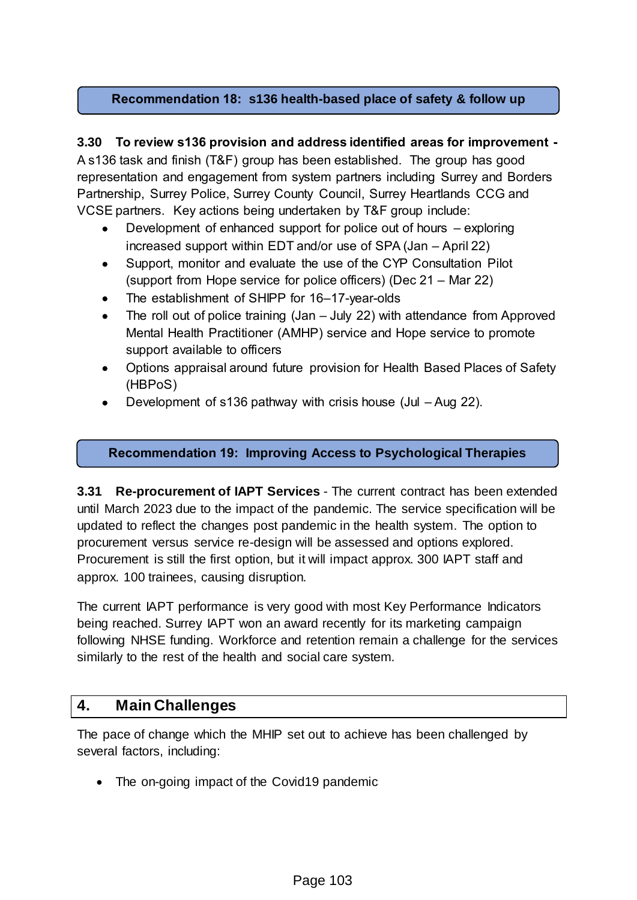#### **Recommendation 18: s136 health-based place of safety & follow up**

#### **3.30 To review s136 provision and address identified areas for improvement -**

A s136 task and finish (T&F) group has been established. The group has good representation and engagement from system partners including Surrey and Borders Partnership, Surrey Police, Surrey County Council, Surrey Heartlands CCG and VCSE partners. Key actions being undertaken by T&F group include:

- Development of enhanced support for police out of hours exploring increased support within EDT and/or use of SPA (Jan – April 22)
- Support, monitor and evaluate the use of the CYP Consultation Pilot (support from Hope service for police officers) (Dec 21 – Mar 22)
- The establishment of SHIPP for 16–17-year-olds
- The roll out of police training (Jan July 22) with attendance from Approved Mental Health Practitioner (AMHP) service and Hope service to promote support available to officers
- Options appraisal around future provision for Health Based Places of Safety (HBPoS)
- Development of s136 pathway with crisis house (Jul Aug 22).

#### **Recommendation 19: Improving Access to Psychological Therapies**

**3.31 Re-procurement of IAPT Services** - The current contract has been extended until March 2023 due to the impact of the pandemic. The service specification will be updated to reflect the changes post pandemic in the health system. The option to procurement versus service re-design will be assessed and options explored. Procurement is still the first option, but it will impact approx. 300 IAPT staff and approx. 100 trainees, causing disruption.

The current IAPT performance is very good with most Key Performance Indicators being reached. Surrey IAPT won an award recently for its marketing campaign following NHSE funding. Workforce and retention remain a challenge for the services similarly to the rest of the health and social care system.

# **4. Main Challenges**

The pace of change which the MHIP set out to achieve has been challenged by several factors, including:

• The on-going impact of the Covid19 pandemic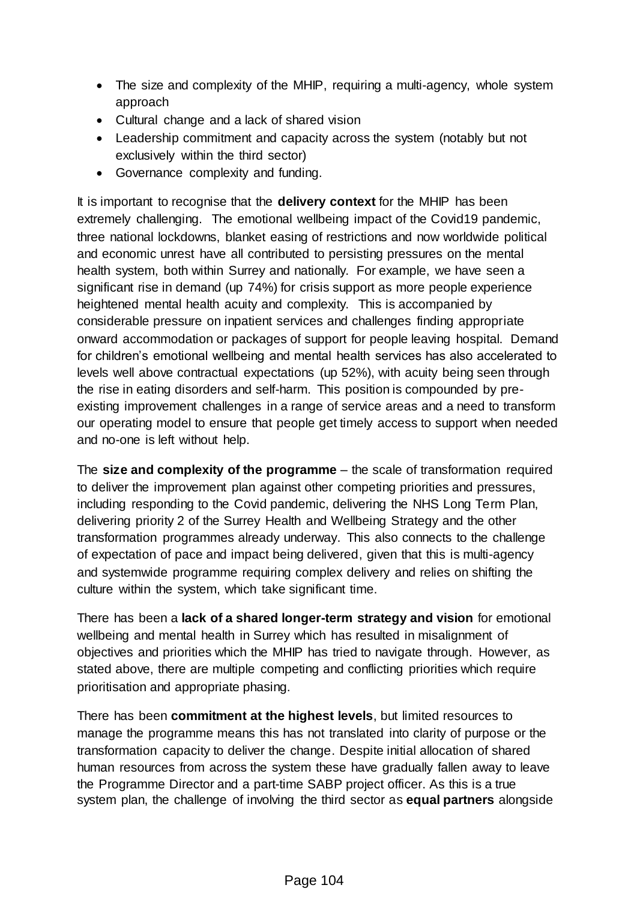- The size and complexity of the MHIP, requiring a multi-agency, whole system approach
- Cultural change and a lack of shared vision
- Leadership commitment and capacity across the system (notably but not exclusively within the third sector)
- Governance complexity and funding.

It is important to recognise that the **delivery context** for the MHIP has been extremely challenging. The emotional wellbeing impact of the Covid19 pandemic, three national lockdowns, blanket easing of restrictions and now worldwide political and economic unrest have all contributed to persisting pressures on the mental health system, both within Surrey and nationally. For example, we have seen a significant rise in demand (up 74%) for crisis support as more people experience heightened mental health acuity and complexity. This is accompanied by considerable pressure on inpatient services and challenges finding appropriate onward accommodation or packages of support for people leaving hospital. Demand for children's emotional wellbeing and mental health services has also accelerated to levels well above contractual expectations (up 52%), with acuity being seen through the rise in eating disorders and self-harm. This position is compounded by preexisting improvement challenges in a range of service areas and a need to transform our operating model to ensure that people get timely access to support when needed and no-one is left without help.

The **size and complexity of the programme** – the scale of transformation required to deliver the improvement plan against other competing priorities and pressures, including responding to the Covid pandemic, delivering the NHS Long Term Plan, delivering priority 2 of the Surrey Health and Wellbeing Strategy and the other transformation programmes already underway. This also connects to the challenge of expectation of pace and impact being delivered, given that this is multi-agency and systemwide programme requiring complex delivery and relies on shifting the culture within the system, which take significant time.

There has been a **lack of a shared longer-term strategy and vision** for emotional wellbeing and mental health in Surrey which has resulted in misalignment of objectives and priorities which the MHIP has tried to navigate through. However, as stated above, there are multiple competing and conflicting priorities which require prioritisation and appropriate phasing.

There has been **commitment at the highest levels**, but limited resources to manage the programme means this has not translated into clarity of purpose or the transformation capacity to deliver the change. Despite initial allocation of shared human resources from across the system these have gradually fallen away to leave the Programme Director and a part-time SABP project officer. As this is a true system plan, the challenge of involving the third sector as **equal partners** alongside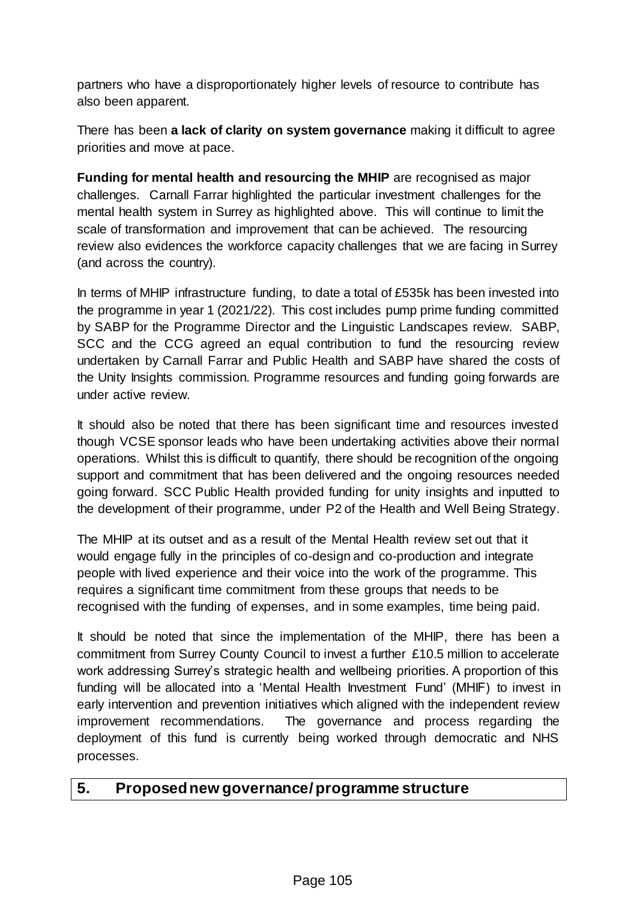partners who have a disproportionately higher levels of resource to contribute has also been apparent.

There has been **a lack of clarity on system governance** making it difficult to agree priorities and move at pace.

**Funding for mental health and resourcing the MHIP** are recognised as major challenges. Carnall Farrar highlighted the particular investment challenges for the mental health system in Surrey as highlighted above. This will continue to limit the scale of transformation and improvement that can be achieved. The resourcing review also evidences the workforce capacity challenges that we are facing in Surrey (and across the country).

In terms of MHIP infrastructure funding, to date a total of £535k has been invested into the programme in year 1 (2021/22). This cost includes pump prime funding committed by SABP for the Programme Director and the Linguistic Landscapes review. SABP, SCC and the CCG agreed an equal contribution to fund the resourcing review undertaken by Carnall Farrar and Public Health and SABP have shared the costs of the Unity Insights commission. Programme resources and funding going forwards are under active review.

It should also be noted that there has been significant time and resources invested though VCSE sponsor leads who have been undertaking activities above their normal operations. Whilst this is difficult to quantify, there should be recognition of the ongoing support and commitment that has been delivered and the ongoing resources needed going forward. SCC Public Health provided funding for unity insights and inputted to the development of their programme, under P2 of the Health and Well Being Strategy.

The MHIP at its outset and as a result of the Mental Health review set out that it would engage fully in the principles of co-design and co-production and integrate people with lived experience and their voice into the work of the programme. This requires a significant time commitment from these groups that needs to be recognised with the funding of expenses, and in some examples, time being paid.

It should be noted that since the implementation of the MHIP, there has been a commitment from Surrey County Council to invest a further £10.5 million to accelerate work addressing Surrey's strategic health and wellbeing priorities. A proportion of this funding will be allocated into a 'Mental Health Investment Fund' (MHIF) to invest in early intervention and prevention initiatives which aligned with the independent review improvement recommendations. The governance and process regarding the deployment of this fund is currently being worked through democratic and NHS processes.

#### **5. Proposed new governance/ programme structure**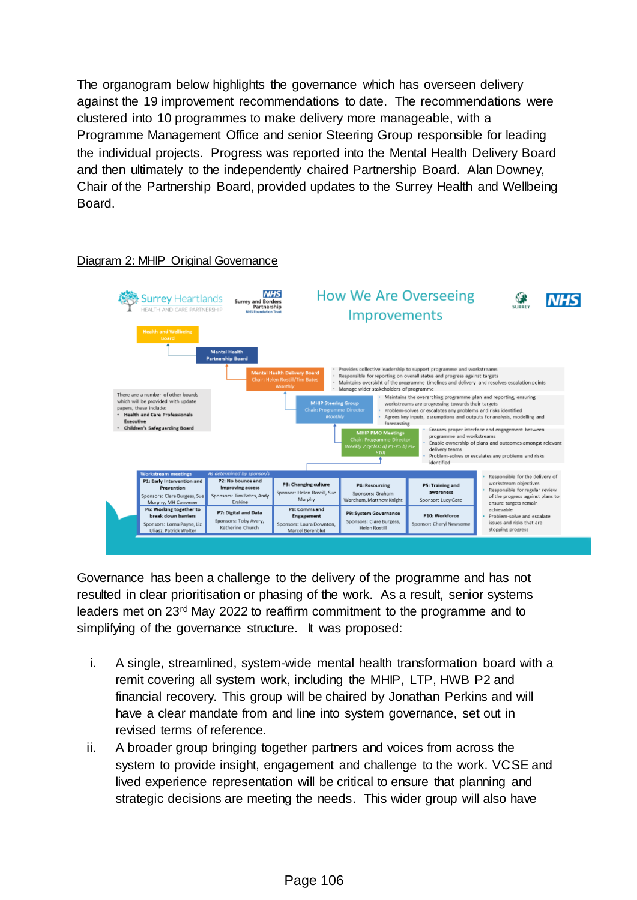The organogram below highlights the governance which has overseen delivery against the 19 improvement recommendations to date. The recommendations were clustered into 10 programmes to make delivery more manageable, with a Programme Management Office and senior Steering Group responsible for leading the individual projects. Progress was reported into the Mental Health Delivery Board and then ultimately to the independently chaired Partnership Board. Alan Downey, Chair of the Partnership Board, provided updates to the Surrey Health and Wellbeing Board.



#### Diagram 2: MHIP Original Governance

Governance has been a challenge to the delivery of the programme and has not resulted in clear prioritisation or phasing of the work. As a result, senior systems leaders met on 23rd May 2022 to reaffirm commitment to the programme and to simplifying of the governance structure. It was proposed:

- i. A single, streamlined, system-wide mental health transformation board with a remit covering all system work, including the MHIP, LTP, HWB P2 and financial recovery. This group will be chaired by Jonathan Perkins and will have a clear mandate from and line into system governance, set out in revised terms of reference.
- ii. A broader group bringing together partners and voices from across the system to provide insight, engagement and challenge to the work. VCSE and lived experience representation will be critical to ensure that planning and strategic decisions are meeting the needs. This wider group will also have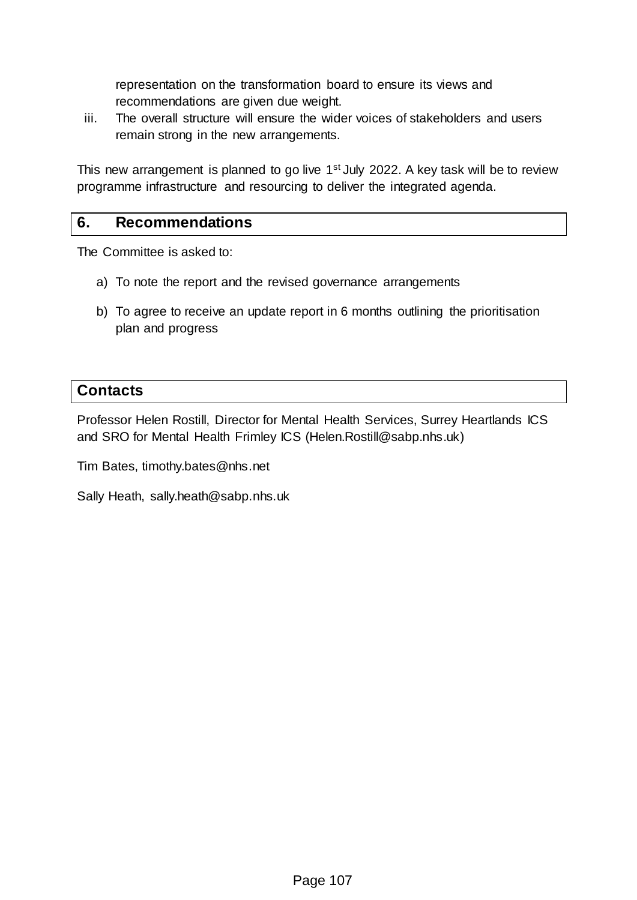representation on the transformation board to ensure its views and recommendations are given due weight.

iii. The overall structure will ensure the wider voices of stakeholders and users remain strong in the new arrangements.

This new arrangement is planned to go live 1<sup>st</sup> July 2022. A key task will be to review programme infrastructure and resourcing to deliver the integrated agenda.

#### **6. Recommendations**

The Committee is asked to:

- a) To note the report and the revised governance arrangements
- b) To agree to receive an update report in 6 months outlining the prioritisation plan and progress

#### **Contacts**

Professor Helen Rostill, Director for Mental Health Services, Surrey Heartlands ICS and SRO for Mental Health Frimley ICS (Helen.Rostill@sabp.nhs.uk)

Tim Bates, timothy.bates@nhs.net

Sally Heath, sally.heath@sabp.nhs.uk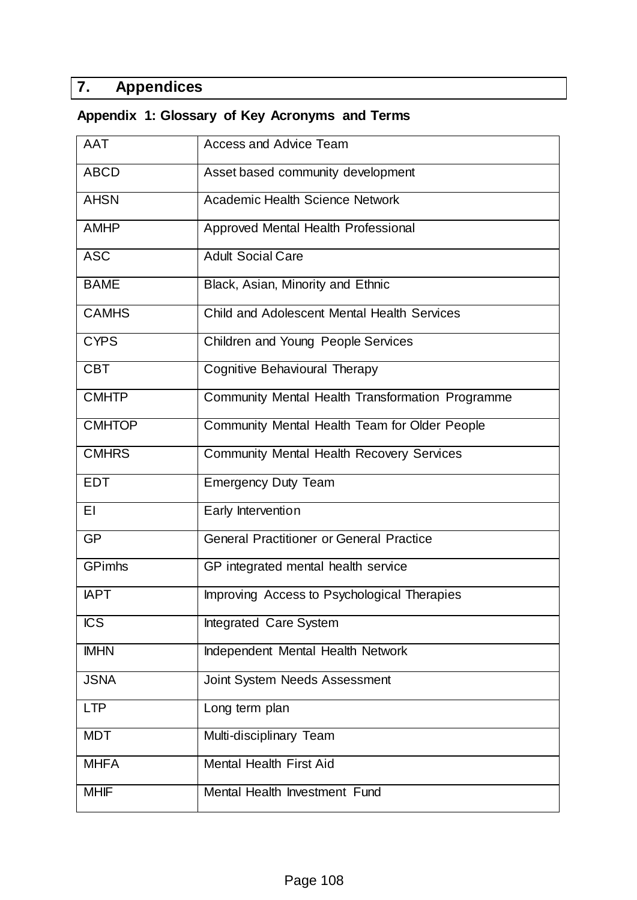# **7. Appendices**

# **Appendix 1: Glossary of Key Acronyms and Terms**

| <b>AAT</b>    | <b>Access and Advice Team</b>                      |
|---------------|----------------------------------------------------|
| <b>ABCD</b>   | Asset based community development                  |
| <b>AHSN</b>   | <b>Academic Health Science Network</b>             |
| <b>AMHP</b>   | Approved Mental Health Professional                |
| <b>ASC</b>    | <b>Adult Social Care</b>                           |
| <b>BAME</b>   | Black, Asian, Minority and Ethnic                  |
| <b>CAMHS</b>  | <b>Child and Adolescent Mental Health Services</b> |
| <b>CYPS</b>   | Children and Young People Services                 |
| <b>CBT</b>    | Cognitive Behavioural Therapy                      |
| <b>CMHTP</b>  | Community Mental Health Transformation Programme   |
| <b>CMHTOP</b> | Community Mental Health Team for Older People      |
| <b>CMHRS</b>  | Community Mental Health Recovery Services          |
| <b>EDT</b>    | <b>Emergency Duty Team</b>                         |
| ΕI            | Early Intervention                                 |
| <b>GP</b>     | <b>General Practitioner or General Practice</b>    |
| <b>GPimhs</b> | GP integrated mental health service                |
| <b>IAPT</b>   | Improving Access to Psychological Therapies        |
| <b>ICS</b>    | Integrated Care System                             |
| <b>IMHN</b>   | Independent Mental Health Network                  |
| <b>JSNA</b>   | Joint System Needs Assessment                      |
| <b>LTP</b>    | Long term plan                                     |
| <b>MDT</b>    | Multi-disciplinary Team                            |
| <b>MHFA</b>   | <b>Mental Health First Aid</b>                     |
| <b>MHIF</b>   | Mental Health Investment Fund                      |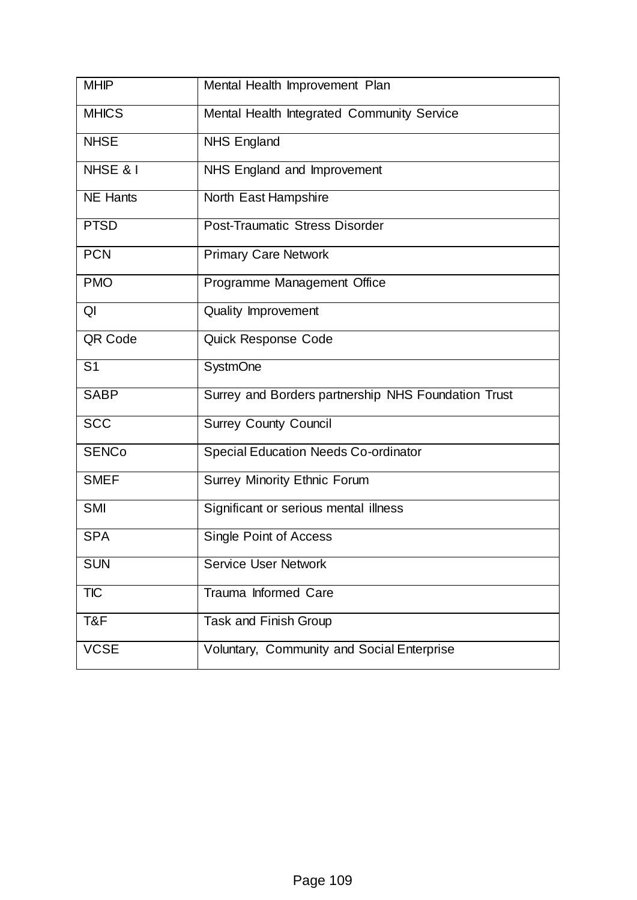| <b>MHIP</b>     | Mental Health Improvement Plan                      |
|-----------------|-----------------------------------------------------|
| <b>MHICS</b>    | Mental Health Integrated Community Service          |
| <b>NHSE</b>     | <b>NHS England</b>                                  |
| NHSE & I        | NHS England and Improvement                         |
| <b>NE Hants</b> | North East Hampshire                                |
| <b>PTSD</b>     | Post-Traumatic Stress Disorder                      |
| <b>PCN</b>      | <b>Primary Care Network</b>                         |
| <b>PMO</b>      | Programme Management Office                         |
| QI              | <b>Quality Improvement</b>                          |
| QR Code         | Quick Response Code                                 |
| S <sub>1</sub>  | <b>SystmOne</b>                                     |
| <b>SABP</b>     | Surrey and Borders partnership NHS Foundation Trust |
| <b>SCC</b>      | <b>Surrey County Council</b>                        |
| <b>SENCo</b>    | <b>Special Education Needs Co-ordinator</b>         |
| <b>SMEF</b>     | Surrey Minority Ethnic Forum                        |
| <b>SMI</b>      | Significant or serious mental illness               |
| <b>SPA</b>      | Single Point of Access                              |
| <b>SUN</b>      | <b>Service User Network</b>                         |
| <b>TIC</b>      | Trauma Informed Care                                |
| T&F             | Task and Finish Group                               |
| <b>VCSE</b>     | Voluntary, Community and Social Enterprise          |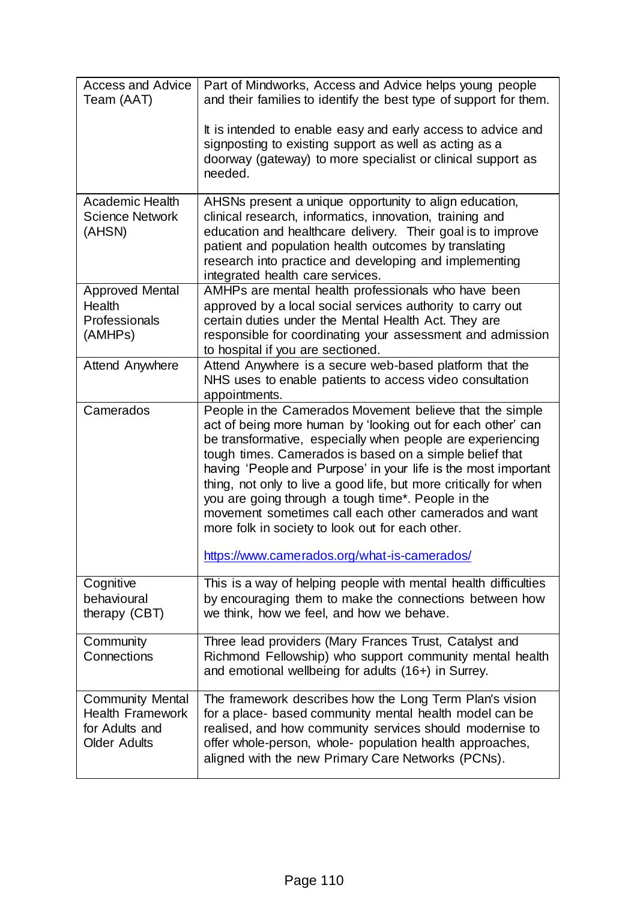| <b>Access and Advice</b><br>Team (AAT)                                                      | Part of Mindworks, Access and Advice helps young people<br>and their families to identify the best type of support for them.                                                                                                                                                                                                                                                                                                                                                                                                                                                                               |
|---------------------------------------------------------------------------------------------|------------------------------------------------------------------------------------------------------------------------------------------------------------------------------------------------------------------------------------------------------------------------------------------------------------------------------------------------------------------------------------------------------------------------------------------------------------------------------------------------------------------------------------------------------------------------------------------------------------|
|                                                                                             | It is intended to enable easy and early access to advice and<br>signposting to existing support as well as acting as a<br>doorway (gateway) to more specialist or clinical support as<br>needed.                                                                                                                                                                                                                                                                                                                                                                                                           |
| <b>Academic Health</b><br><b>Science Network</b><br>(AHSN)                                  | AHSNs present a unique opportunity to align education,<br>clinical research, informatics, innovation, training and<br>education and healthcare delivery. Their goal is to improve<br>patient and population health outcomes by translating<br>research into practice and developing and implementing<br>integrated health care services.                                                                                                                                                                                                                                                                   |
| <b>Approved Mental</b><br>Health<br>Professionals<br>(AMHPs)                                | AMHPs are mental health professionals who have been<br>approved by a local social services authority to carry out<br>certain duties under the Mental Health Act. They are<br>responsible for coordinating your assessment and admission<br>to hospital if you are sectioned.                                                                                                                                                                                                                                                                                                                               |
| <b>Attend Anywhere</b>                                                                      | Attend Anywhere is a secure web-based platform that the<br>NHS uses to enable patients to access video consultation<br>appointments.                                                                                                                                                                                                                                                                                                                                                                                                                                                                       |
| Camerados                                                                                   | People in the Camerados Movement believe that the simple<br>act of being more human by 'looking out for each other' can<br>be transformative, especially when people are experiencing<br>tough times. Camerados is based on a simple belief that<br>having 'People and Purpose' in your life is the most important<br>thing, not only to live a good life, but more critically for when<br>you are going through a tough time*. People in the<br>movement sometimes call each other camerados and want<br>more folk in society to look out for each other.<br>https://www.camerados.org/what-is-camerados/ |
| Cognitive<br>behavioural<br>therapy (CBT)                                                   | This is a way of helping people with mental health difficulties<br>by encouraging them to make the connections between how<br>we think, how we feel, and how we behave.                                                                                                                                                                                                                                                                                                                                                                                                                                    |
| Community<br>Connections                                                                    | Three lead providers (Mary Frances Trust, Catalyst and<br>Richmond Fellowship) who support community mental health<br>and emotional wellbeing for adults (16+) in Surrey.                                                                                                                                                                                                                                                                                                                                                                                                                                  |
| <b>Community Mental</b><br><b>Health Framework</b><br>for Adults and<br><b>Older Adults</b> | The framework describes how the Long Term Plan's vision<br>for a place- based community mental health model can be<br>realised, and how community services should modernise to<br>offer whole-person, whole- population health approaches,<br>aligned with the new Primary Care Networks (PCNs).                                                                                                                                                                                                                                                                                                           |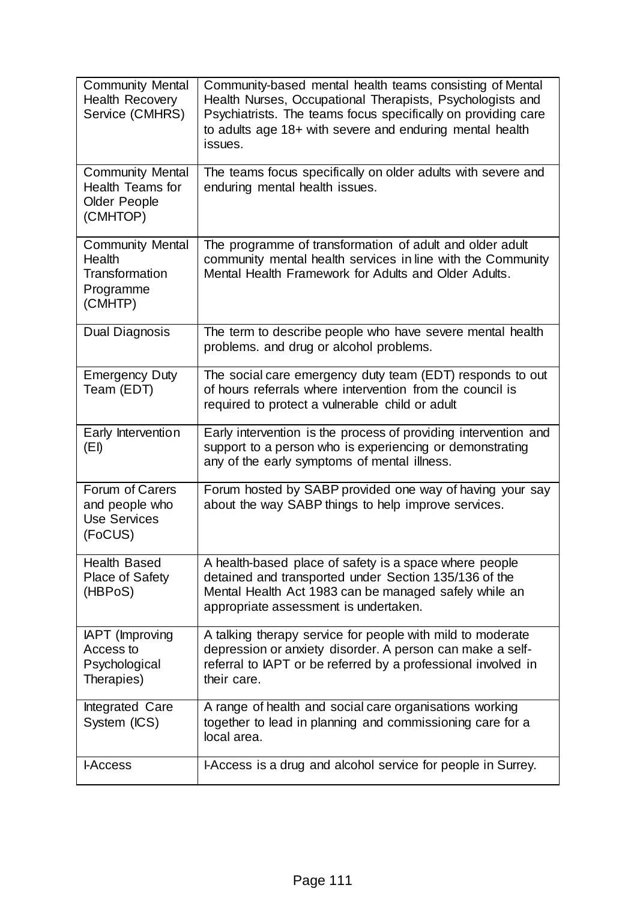| <b>Community Mental</b><br><b>Health Recovery</b><br>Service (CMHRS)                  | Community-based mental health teams consisting of Mental<br>Health Nurses, Occupational Therapists, Psychologists and<br>Psychiatrists. The teams focus specifically on providing care<br>to adults age 18+ with severe and enduring mental health<br>issues. |
|---------------------------------------------------------------------------------------|---------------------------------------------------------------------------------------------------------------------------------------------------------------------------------------------------------------------------------------------------------------|
| <b>Community Mental</b><br><b>Health Teams for</b><br><b>Older People</b><br>(CMHTOP) | The teams focus specifically on older adults with severe and<br>enduring mental health issues.                                                                                                                                                                |
| <b>Community Mental</b><br>Health<br>Transformation<br>Programme<br>(CMHTP)           | The programme of transformation of adult and older adult<br>community mental health services in line with the Community<br>Mental Health Framework for Adults and Older Adults.                                                                               |
| Dual Diagnosis                                                                        | The term to describe people who have severe mental health<br>problems. and drug or alcohol problems.                                                                                                                                                          |
| <b>Emergency Duty</b><br>Team (EDT)                                                   | The social care emergency duty team (EDT) responds to out<br>of hours referrals where intervention from the council is<br>required to protect a vulnerable child or adult                                                                                     |
| Early Intervention<br>(EI)                                                            | Early intervention is the process of providing intervention and<br>support to a person who is experiencing or demonstrating<br>any of the early symptoms of mental illness.                                                                                   |
| Forum of Carers<br>and people who<br><b>Use Services</b><br>(FoCUS)                   | Forum hosted by SABP provided one way of having your say<br>about the way SABP things to help improve services.                                                                                                                                               |
| <b>Health Based</b><br>Place of Safety<br>(HBPoS)                                     | A health-based place of safety is a space where people<br>detained and transported under Section 135/136 of the<br>Mental Health Act 1983 can be managed safely while an<br>appropriate assessment is undertaken.                                             |
| IAPT (Improving<br>Access to<br>Psychological<br>Therapies)                           | A talking therapy service for people with mild to moderate<br>depression or anxiety disorder. A person can make a self-<br>referral to IAPT or be referred by a professional involved in<br>their care.                                                       |
| Integrated Care<br>System (ICS)                                                       | A range of health and social care organisations working<br>together to lead in planning and commissioning care for a<br>local area.                                                                                                                           |
| <b>LAccess</b>                                                                        | I-Access is a drug and alcohol service for people in Surrey.                                                                                                                                                                                                  |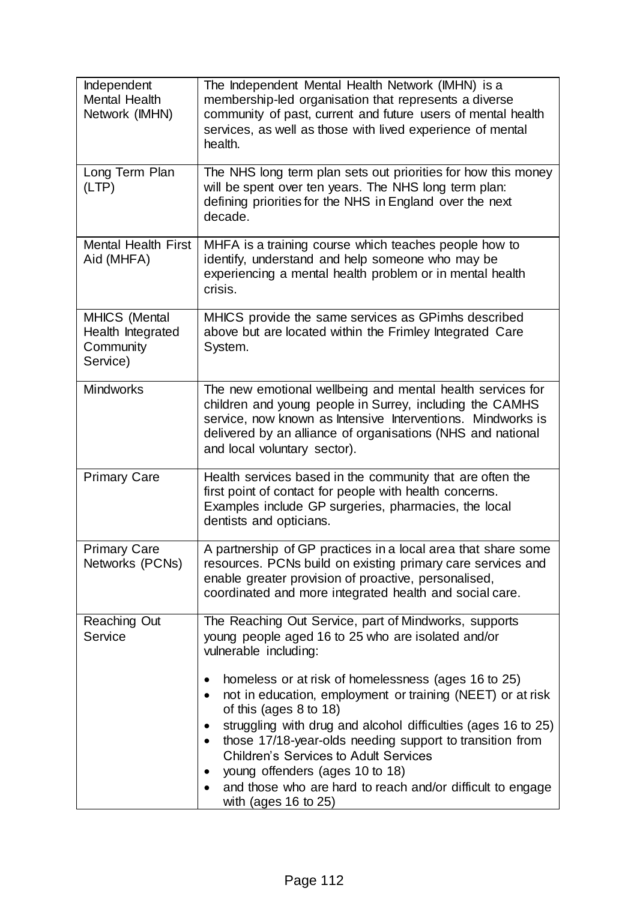| Independent<br><b>Mental Health</b><br>Network (IMHN)       | The Independent Mental Health Network (IMHN) is a<br>membership-led organisation that represents a diverse<br>community of past, current and future users of mental health<br>services, as well as those with lived experience of mental<br>health.                                                                                                                                                                                                                                                                                                                                                                                          |  |  |  |  |  |  |
|-------------------------------------------------------------|----------------------------------------------------------------------------------------------------------------------------------------------------------------------------------------------------------------------------------------------------------------------------------------------------------------------------------------------------------------------------------------------------------------------------------------------------------------------------------------------------------------------------------------------------------------------------------------------------------------------------------------------|--|--|--|--|--|--|
| Long Term Plan<br>(LTP)                                     | The NHS long term plan sets out priorities for how this money<br>will be spent over ten years. The NHS long term plan:<br>defining priorities for the NHS in England over the next<br>decade.                                                                                                                                                                                                                                                                                                                                                                                                                                                |  |  |  |  |  |  |
| <b>Mental Health First</b><br>Aid (MHFA)                    | MHFA is a training course which teaches people how to<br>identify, understand and help someone who may be<br>experiencing a mental health problem or in mental health<br>crisis.                                                                                                                                                                                                                                                                                                                                                                                                                                                             |  |  |  |  |  |  |
| MHICS (Mental<br>Health Integrated<br>Community<br>Service) | MHICS provide the same services as GPimhs described<br>above but are located within the Frimley Integrated Care<br>System.                                                                                                                                                                                                                                                                                                                                                                                                                                                                                                                   |  |  |  |  |  |  |
| <b>Mindworks</b>                                            | The new emotional wellbeing and mental health services for<br>children and young people in Surrey, including the CAMHS<br>service, now known as Intensive Interventions. Mindworks is<br>delivered by an alliance of organisations (NHS and national<br>and local voluntary sector).                                                                                                                                                                                                                                                                                                                                                         |  |  |  |  |  |  |
| <b>Primary Care</b>                                         | Health services based in the community that are often the<br>first point of contact for people with health concerns.<br>Examples include GP surgeries, pharmacies, the local<br>dentists and opticians.                                                                                                                                                                                                                                                                                                                                                                                                                                      |  |  |  |  |  |  |
| <b>Primary Care</b><br>Networks (PCNs)                      | A partnership of GP practices in a local area that share some<br>resources. PCNs build on existing primary care services and<br>enable greater provision of proactive, personalised,<br>coordinated and more integrated health and social care.                                                                                                                                                                                                                                                                                                                                                                                              |  |  |  |  |  |  |
| <b>Reaching Out</b><br>Service                              | The Reaching Out Service, part of Mindworks, supports<br>young people aged 16 to 25 who are isolated and/or<br>vulnerable including:<br>homeless or at risk of homelessness (ages 16 to 25)<br>٠<br>not in education, employment or training (NEET) or at risk<br>٠<br>of this (ages $8$ to $18$ )<br>struggling with drug and alcohol difficulties (ages 16 to 25)<br>٠<br>those 17/18-year-olds needing support to transition from<br>$\bullet$<br><b>Children's Services to Adult Services</b><br>young offenders (ages 10 to 18)<br>$\bullet$<br>and those who are hard to reach and/or difficult to engage<br>with (ages $16$ to $25$ ) |  |  |  |  |  |  |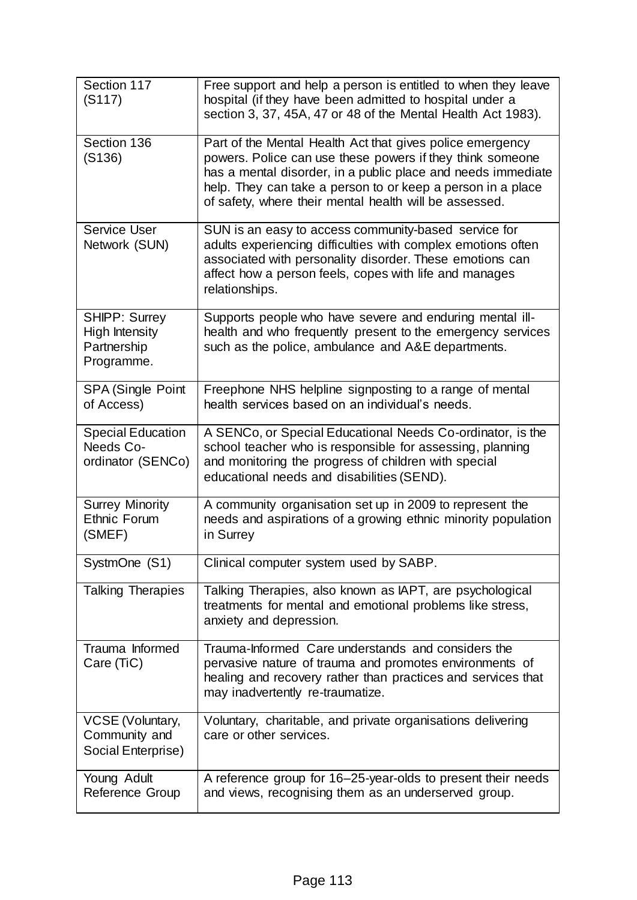| Section 117<br>(S117)                                                      | Free support and help a person is entitled to when they leave<br>hospital (if they have been admitted to hospital under a<br>section 3, 37, 45A, 47 or 48 of the Mental Health Act 1983).                                                                                                                       |  |  |  |  |  |
|----------------------------------------------------------------------------|-----------------------------------------------------------------------------------------------------------------------------------------------------------------------------------------------------------------------------------------------------------------------------------------------------------------|--|--|--|--|--|
| Section 136<br>(S136)                                                      | Part of the Mental Health Act that gives police emergency<br>powers. Police can use these powers if they think someone<br>has a mental disorder, in a public place and needs immediate<br>help. They can take a person to or keep a person in a place<br>of safety, where their mental health will be assessed. |  |  |  |  |  |
| Service User<br>Network (SUN)                                              | SUN is an easy to access community-based service for<br>adults experiencing difficulties with complex emotions often<br>associated with personality disorder. These emotions can<br>affect how a person feels, copes with life and manages<br>relationships.                                                    |  |  |  |  |  |
| <b>SHIPP: Surrey</b><br><b>High Intensity</b><br>Partnership<br>Programme. | Supports people who have severe and enduring mental ill-<br>health and who frequently present to the emergency services<br>such as the police, ambulance and A&E departments.                                                                                                                                   |  |  |  |  |  |
| <b>SPA (Single Point</b><br>of Access)                                     | Freephone NHS helpline signposting to a range of mental<br>health services based on an individual's needs.                                                                                                                                                                                                      |  |  |  |  |  |
| <b>Special Education</b><br>Needs Co-<br>ordinator (SENCo)                 | A SENCo, or Special Educational Needs Co-ordinator, is the<br>school teacher who is responsible for assessing, planning<br>and monitoring the progress of children with special<br>educational needs and disabilities (SEND).                                                                                   |  |  |  |  |  |
| <b>Surrey Minority</b><br><b>Ethnic Forum</b><br>(SMEF)                    | A community organisation set up in 2009 to represent the<br>needs and aspirations of a growing ethnic minority population<br>in Surrey                                                                                                                                                                          |  |  |  |  |  |
| SystmOne (S1)                                                              | Clinical computer system used by SABP.                                                                                                                                                                                                                                                                          |  |  |  |  |  |
| <b>Talking Therapies</b>                                                   | Talking Therapies, also known as IAPT, are psychological<br>treatments for mental and emotional problems like stress,<br>anxiety and depression.                                                                                                                                                                |  |  |  |  |  |
| Trauma Informed<br>Care (TiC)                                              | Trauma-Informed Care understands and considers the<br>pervasive nature of trauma and promotes environments of<br>healing and recovery rather than practices and services that<br>may inadvertently re-traumatize.                                                                                               |  |  |  |  |  |
| <b>VCSE (Voluntary,</b><br>Community and<br>Social Enterprise)             | Voluntary, charitable, and private organisations delivering<br>care or other services.                                                                                                                                                                                                                          |  |  |  |  |  |
| Young Adult<br>Reference Group                                             | A reference group for 16-25-year-olds to present their needs<br>and views, recognising them as an underserved group.                                                                                                                                                                                            |  |  |  |  |  |